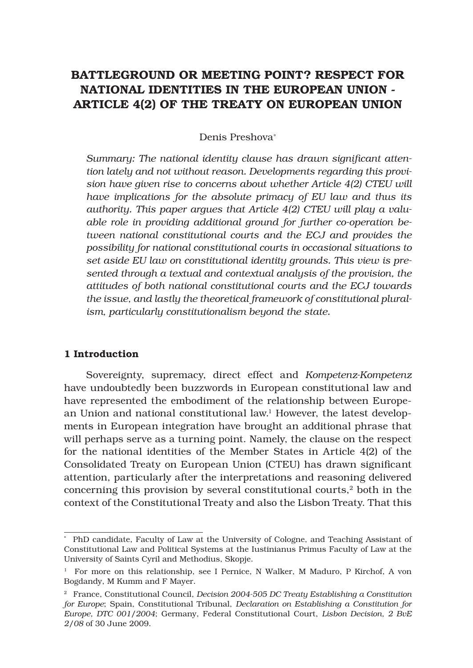# BATTLEGROUND OR MEETING POINT? RESPECT FOR NATIONAL IDENTITIES IN THE EUROPEAN UNION - ARTICLE 4(2) OF THE TREATY ON EUROPEAN UNION

#### Denis Preshova<sup>∗</sup>

Summary: The national identity clause has drawn significant atten*tion lately and not without reason. Developments regarding this provision have given rise to concerns about whether Article 4(2) CTEU will have implications for the absolute primacy of EU law and thus its authority. This paper argues that Article 4(2) CTEU will play a valuable role in providing additional ground for further co-operation between national constitutional courts and the ECJ and provides the possibility for national constitutional courts in occasional situations to set aside EU law on constitutional identity grounds. This view is presented through a textual and contextual analysis of the provision, the attitudes of both national constitutional courts and the ECJ towards the issue, and lastly the theoretical framework of constitutional pluralism, particularly constitutionalism beyond the state.* 

#### 1 Introduction

Sovereignty, supremacy, direct effect and *Kompetenz-Kompetenz* have undoubtedly been buzzwords in European constitutional law and have represented the embodiment of the relationship between European Union and national constitutional law.1 However, the latest developments in European integration have brought an additional phrase that will perhaps serve as a turning point. Namely, the clause on the respect for the national identities of the Member States in Article 4(2) of the Consolidated Treaty on European Union (CTEU) has drawn significant attention, particularly after the interpretations and reasoning delivered concerning this provision by several constitutional courts, $2$  both in the context of the Constitutional Treaty and also the Lisbon Treaty. That this

<sup>\*</sup> PhD candidate, Faculty of Law at the University of Cologne, and Teaching Assistant of Constitutional Law and Political Systems at the Iustinianus Primus Faculty of Law at the University of Saints Cyril and Methodius, Skopje.

<sup>1</sup> For more on this relationship, see I Pernice, N Walker, M Maduro, P Kirchof, A von Bogdandy, M Kumm and F Mayer.

<sup>2</sup> France, Constitutional Council, *Decision 2004-505 DC Treaty Establishing a Constitution for Europe*; Spain, Constitutional Tribunal, *Declaration on Establishing a Constitution for Europe, DTC 001/2004*; Germany, Federal Constitutional Court, *Lisbon Decision, 2 BvE 2/08* of 30 June 2009.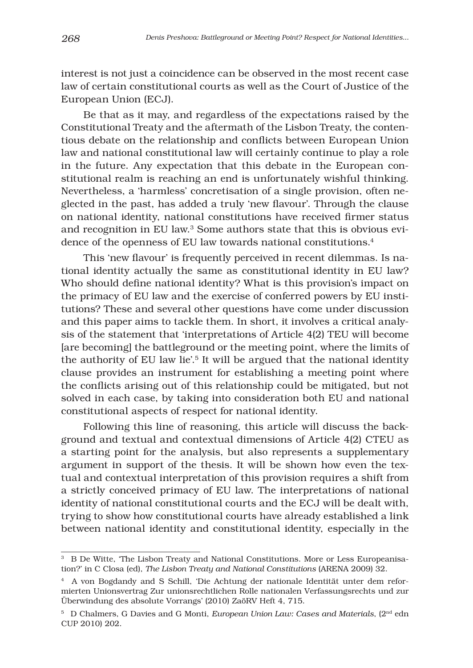interest is not just a coincidence can be observed in the most recent case law of certain constitutional courts as well as the Court of Justice of the European Union (ECJ).

Be that as it may, and regardless of the expectations raised by the Constitutional Treaty and the aftermath of the Lisbon Treaty, the contentious debate on the relationship and conflicts between European Union law and national constitutional law will certainly continue to play a role in the future. Any expectation that this debate in the European constitutional realm is reaching an end is unfortunately wishful thinking. Nevertheless, a 'harmless' concretisation of a single provision, often neglected in the past, has added a truly 'new flavour'. Through the clause on national identity, national constitutions have received firmer status and recognition in EU law.3 Some authors state that this is obvious evidence of the openness of EU law towards national constitutions.4

This 'new flavour' is frequently perceived in recent dilemmas. Is national identity actually the same as constitutional identity in EU law? Who should define national identity? What is this provision's impact on the primacy of EU law and the exercise of conferred powers by EU institutions? These and several other questions have come under discussion and this paper aims to tackle them. In short, it involves a critical analysis of the statement that 'interpretations of Article 4(2) TEU will become [are becoming] the battleground or the meeting point, where the limits of the authority of EU law lie'.<sup>5</sup> It will be argued that the national identity clause provides an instrument for establishing a meeting point where the conflicts arising out of this relationship could be mitigated, but not solved in each case, by taking into consideration both EU and national constitutional aspects of respect for national identity.

Following this line of reasoning, this article will discuss the background and textual and contextual dimensions of Article 4(2) CTEU as a starting point for the analysis, but also represents a supplementary argument in support of the thesis. It will be shown how even the textual and contextual interpretation of this provision requires a shift from a strictly conceived primacy of EU law. The interpretations of national identity of national constitutional courts and the ECJ will be dealt with, trying to show how constitutional courts have already established a link between national identity and constitutional identity, especially in the

<sup>&</sup>lt;sup>3</sup> B De Witte, 'The Lisbon Treaty and National Constitutions. More or Less Europeanisation?' in C Closa (ed), *The Lisbon Treaty and National Constitutions* (ARENA 2009) 32.

<sup>4</sup> A von Bogdandy and S Schill, 'Die Achtung der nationale Identität unter dem reformierten Unionsvertrag Zur unionsrechtlichen Rolle nationalen Verfassungsrechts und zur Überwindung des absolute Vorrangs' (2010) ZaöRV Heft 4, 715.

<sup>&</sup>lt;sup>5</sup> D Chalmers, G Davies and G Monti, *European Union Law: Cases and Materials*, (2<sup>nd</sup> edn CUP 2010) 202.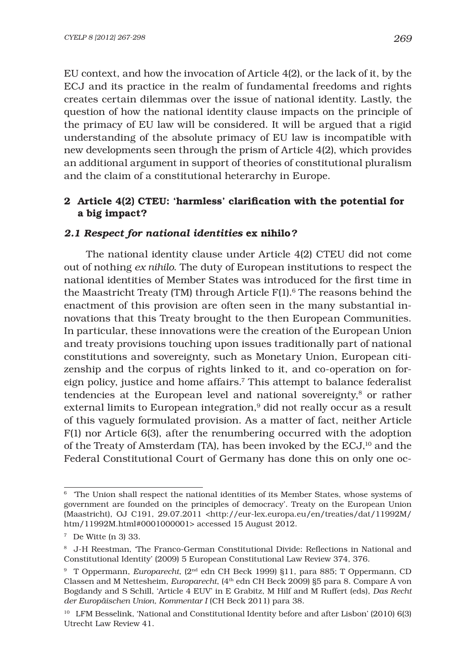EU context, and how the invocation of Article 4(2), or the lack of it, by the ECJ and its practice in the realm of fundamental freedoms and rights creates certain dilemmas over the issue of national identity. Lastly, the question of how the national identity clause impacts on the principle of the primacy of EU law will be considered. It will be argued that a rigid understanding of the absolute primacy of EU law is incompatible with new developments seen through the prism of Article 4(2), which provides an additional argument in support of theories of constitutional pluralism and the claim of a constitutional heterarchy in Europe.

## 2 Article 4(2) CTEU: 'harmless' clarification with the potential for a big impact?

#### *2.1 Respect for national identities* ex nihilo*?*

The national identity clause under Article 4(2) CTEU did not come out of nothing *ex nihilo*. The duty of European institutions to respect the national identities of Member States was introduced for the first time in the Maastricht Treaty (TM) through Article F(1).<sup>6</sup> The reasons behind the enactment of this provision are often seen in the many substantial innovations that this Treaty brought to the then European Communities. In particular, these innovations were the creation of the European Union and treaty provisions touching upon issues traditionally part of national constitutions and sovereignty, such as Monetary Union, European citizenship and the corpus of rights linked to it, and co-operation on foreign policy, justice and home affairs.7 This attempt to balance federalist tendencies at the European level and national sovereignty,<sup>8</sup> or rather external limits to European integration,<sup>9</sup> did not really occur as a result of this vaguely formulated provision. As a matter of fact, neither Article F(1) nor Article 6(3), after the renumbering occurred with the adoption of the Treaty of Amsterdam (TA), has been invoked by the  $ECJ<sub>i</sub><sup>10</sup>$  and the Federal Constitutional Court of Germany has done this on only one oc-

<sup>6 &#</sup>x27;The Union shall respect the national identities of its Member States, whose systems of government are founded on the principles of democracy'. Treaty on the European Union (Maastricht), OJ C191, 29.07.2011 <http://eur-lex.europa.eu/en/treaties/dat/11992M/ htm/11992M.html#0001000001> accessed 15 August 2012.

<sup>7</sup> De Witte (n 3) 33.

<sup>&</sup>lt;sup>8</sup> J-H Reestman, 'The Franco-German Constitutional Divide: Reflections in National and Constitutional Identity' (2009) 5 European Constitutional Law Review 374, 376.

<sup>9</sup> T Oppermann, *Europarecht*, (2nd edn CH Beck 1999) §11, para 885; T Oppermann, CD Classen and M Nettesheim, *Europarecht*, (4th edn CH Beck 2009) §5 para 8. Compare A von Bogdandy and S Schill, 'Article 4 EUV' in E Grabitz, M Hilf and M Ruffert (eds), *Das Recht der Europäischen Union, Kommentar I* (CH Beck 2011) para 38.

<sup>10</sup> LFM Besselink, 'National and Constitutional Identity before and after Lisbon' (2010) 6(3) Utrecht Law Review 41.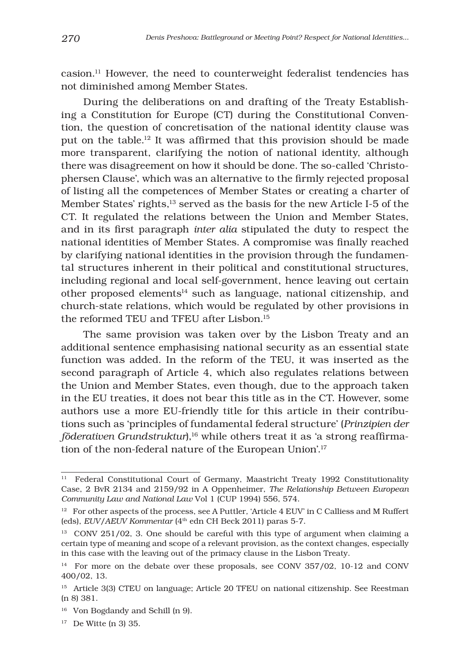casion.11 However, the need to counterweight federalist tendencies has not diminished among Member States.

During the deliberations on and drafting of the Treaty Establishing a Constitution for Europe (CT) during the Constitutional Convention, the question of concretisation of the national identity clause was put on the table.<sup>12</sup> It was affirmed that this provision should be made more transparent, clarifying the notion of national identity, although there was disagreement on how it should be done. The so-called 'Christophersen Clause', which was an alternative to the firmly rejected proposal of listing all the competences of Member States or creating a charter of Member States' rights,13 served as the basis for the new Article I-5 of the CT. It regulated the relations between the Union and Member States, and in its first paragraph *inter alia* stipulated the duty to respect the national identities of Member States. A compromise was finally reached by clarifying national identities in the provision through the fundamental structures inherent in their political and constitutional structures, including regional and local self-government, hence leaving out certain other proposed elements<sup>14</sup> such as language, national citizenship, and church-state relations, which would be regulated by other provisions in the reformed TEU and TFEU after Lisbon.15

The same provision was taken over by the Lisbon Treaty and an additional sentence emphasising national security as an essential state function was added. In the reform of the TEU, it was inserted as the second paragraph of Article 4, which also regulates relations between the Union and Member States, even though, due to the approach taken in the EU treaties, it does not bear this title as in the CT. However, some authors use a more EU-friendly title for this article in their contributions such as 'principles of fundamental federal structure' (*Prinzipien der föderativen Grundstruktur*),<sup>16</sup> while others treat it as 'a strong reaffirmation of the non-federal nature of the European Union'.17

<sup>&</sup>lt;sup>11</sup> Federal Constitutional Court of Germany, Maastricht Treaty 1992 Constitutionality Case, 2 BvR 2134 and 2159/92 in A Oppenheimer, *The Relationship Between European Community Law and National Law* Vol 1 (CUP 1994) 556, 574.

<sup>12</sup> For other aspects of the process, see A Puttler*,* 'Article 4 EUV' in C Calliess and M Ruffert (eds), *EUV*/*AEUV Kommentar* (4<sup>th</sup> edn CH Beck 2011) paras 5-7.

<sup>&</sup>lt;sup>13</sup> CONV 251/02, 3. One should be careful with this type of argument when claiming a certain type of meaning and scope of a relevant provision, as the context changes, especially in this case with the leaving out of the primacy clause in the Lisbon Treaty.

<sup>&</sup>lt;sup>14</sup> For more on the debate over these proposals, see CONV 357/02, 10-12 and CONV 400/02, 13.

<sup>&</sup>lt;sup>15</sup> Article 3(3) CTEU on language; Article 20 TFEU on national citizenship. See Reestman (n 8) 381.

<sup>16</sup> Von Bogdandy and Schill (n 9).

<sup>17</sup> De Witte (n 3) 35.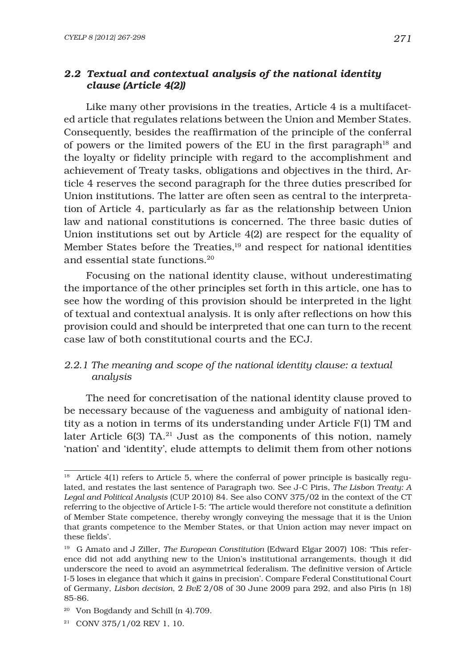### *2.2 Textual and contextual analysis of the national identity clause (Article 4(2))*

Like many other provisions in the treaties, Article 4 is a multifaceted article that regulates relations between the Union and Member States. Consequently, besides the reaffirmation of the principle of the conferral of powers or the limited powers of the EU in the first paragraph<sup>18</sup> and the loyalty or fidelity principle with regard to the accomplishment and achievement of Treaty tasks, obligations and objectives in the third, Article 4 reserves the second paragraph for the three duties prescribed for Union institutions. The latter are often seen as central to the interpretation of Article 4, particularly as far as the relationship between Union law and national constitutions is concerned. The three basic duties of Union institutions set out by Article 4(2) are respect for the equality of Member States before the Treaties,<sup>19</sup> and respect for national identities and essential state functions.20

Focusing on the national identity clause, without underestimating the importance of the other principles set forth in this article, one has to see how the wording of this provision should be interpreted in the light of textual and contextual analysis. It is only after reflections on how this provision could and should be interpreted that one can turn to the recent case law of both constitutional courts and the ECJ.

#### *2.2.1 The meaning and scope of the national identity clause: a textual analysis*

The need for concretisation of the national identity clause proved to be necessary because of the vagueness and ambiguity of national identity as a notion in terms of its understanding under Article F(1) TM and later Article 6(3) TA.<sup>21</sup> Just as the components of this notion, namely 'nation' and 'identity', elude attempts to delimit them from other notions

 $18$  Article 4(1) refers to Article 5, where the conferral of power principle is basically regulated, and restates the last sentence of Paragraph two. See J-C Piris, *The Lisbon Treaty: A Legal and Political Analysis* (CUP 2010) 84. See also CONV 375/02 in the context of the CT referring to the objective of Article I-5: 'The article would therefore not constitute a definition of Member State competence, thereby wrongly conveying the message that it is the Union that grants competence to the Member States, or that Union action may never impact on these fields'.

<sup>19</sup> G Amato and J Ziller, *The European Constitution* (Edward Elgar 2007) 108: 'This reference did not add anything new to the Union's institutional arrangements, though it did underscore the need to avoid an asymmetrical federalism. The definitive version of Article I-5 loses in elegance that which it gains in precision'. Compare Federal Constitutional Court of Germany, *Lisbon decision*, 2 *BvE* 2/08 of 30 June 2009 para 292, and also Piris (n 18) 85-86.

<sup>20</sup> Von Bogdandy and Schill (n 4).709.

 $21$  CONV 375/1/02 REV 1, 10.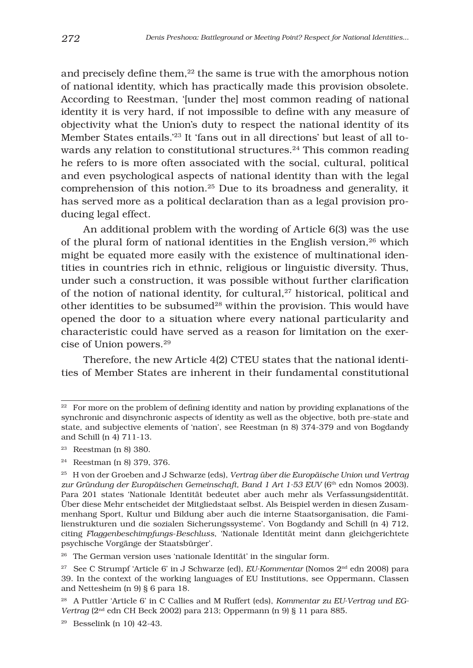and precisely define them, $22$  the same is true with the amorphous notion of national identity, which has practically made this provision obsolete. According to Reestman, '[under the] most common reading of national identity it is very hard, if not impossible to define with any measure of objectivity what the Union's duty to respect the national identity of its Member States entails.'23 It 'fans out in all directions' but least of all towards any relation to constitutional structures.<sup>24</sup> This common reading he refers to is more often associated with the social, cultural, political and even psychological aspects of national identity than with the legal comprehension of this notion.25 Due to its broadness and generality, it has served more as a political declaration than as a legal provision producing legal effect.

An additional problem with the wording of Article 6(3) was the use of the plural form of national identities in the English version,26 which might be equated more easily with the existence of multinational identities in countries rich in ethnic, religious or linguistic diversity. Thus, under such a construction, it was possible without further clarification of the notion of national identity, for cultural,<sup>27</sup> historical, political and other identities to be subsumed<sup>28</sup> within the provision. This would have opened the door to a situation where every national particularity and characteristic could have served as a reason for limitation on the exercise of Union powers.29

Therefore, the new Article 4(2) CTEU states that the national identities of Member States are inherent in their fundamental constitutional

 $22$  For more on the problem of defining identity and nation by providing explanations of the synchronic and disynchronic aspects of identity as well as the objective, both pre-state and state, and subjective elements of 'nation', see Reestman (n 8) 374-379 and von Bogdandy and Schill (n 4) 711-13.

<sup>23</sup> Reestman (n 8) 380.

<sup>24</sup> Reestman (n 8) 379, 376.

<sup>25</sup> H von der Groeben and J Schwarze (eds), *Vertrag über die Europäische Union und Vertrag*  zur Gründung der Europäischen Gemeinschaft, Band 1 Art 1-53 EUV (6<sup>th</sup> edn Nomos 2003). Para 201 states 'Nationale Identität bedeutet aber auch mehr als Verfassungsidentität. Über diese Mehr entscheidet der Mitgliedstaat selbst. Als Beispiel werden in diesen Zusammenhang Sport, Kultur und Bildung aber auch die interne Staatsorganisation, die Familienstrukturen und die sozialen Sicherungssysteme'. Von Bogdandy and Schill (n 4) 712, citing *Flaggenbeschimpfungs*-*Beschluss*, 'Nationale Identität meint dann gleichgerichtete psychische Vorgänge der Staatsbürger'.

<sup>26</sup> The German version uses 'nationale Identität' in the singular form.

<sup>27</sup> See C Strumpf 'Article 6' in J Schwarze (ed), *EU-Kommentar* (Nomos 2nd edn 2008) para 39. In the context of the working languages of EU Institutions, see Oppermann, Classen and Nettesheim (n 9) § 6 para 18.

<sup>28</sup> A Puttler 'Article 6' in C Callies and M Ruffert (eds), *Kommentar zu EU-Vertrag und EG-Vertrag* (2nd edn CH Beck 2002) para 213; Oppermann (n 9) § 11 para 885.

<sup>&</sup>lt;sup>29</sup> Besselink (n 10) 42-43.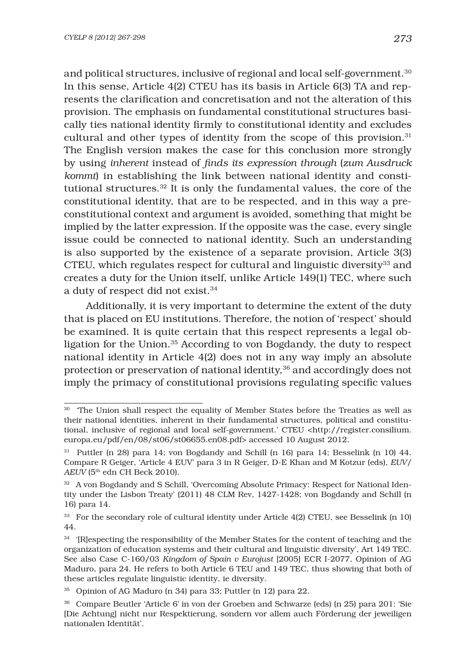and political structures, inclusive of regional and local self-government.30 In this sense, Article 4(2) CTEU has its basis in Article 6(3) TA and represents the clarification and concretisation and not the alteration of this provision. The emphasis on fundamental constitutional structures basically ties national identity firmly to constitutional identity and excludes cultural and other types of identity from the scope of this provision.31 The English version makes the case for this conclusion more strongly by using *inherent* instead of *fi nds its expression through* (*zum Ausdruck kommt*) in establishing the link between national identity and constitutional structures.32 It is only the fundamental values, the core of the constitutional identity, that are to be respected, and in this way a preconstitutional context and argument is avoided, something that might be implied by the latter expression. If the opposite was the case, every single issue could be connected to national identity. Such an understanding is also supported by the existence of a separate provision, Article 3(3) CTEU, which regulates respect for cultural and linguistic diversity $33$  and creates a duty for the Union itself, unlike Article 149(1) TEC, where such a duty of respect did not exist.<sup>34</sup>

Additionally, it is very important to determine the extent of the duty that is placed on EU institutions. Therefore, the notion of 'respect' should be examined. It is quite certain that this respect represents a legal obligation for the Union.35 According to von Bogdandy, the duty to respect national identity in Article 4(2) does not in any way imply an absolute protection or preservation of national identity,36 and accordingly does not imply the primacy of constitutional provisions regulating specific values

<sup>&</sup>lt;sup>30</sup> The Union shall respect the equality of Member States before the Treaties as well as their national identities, inherent in their fundamental structures, political and constitutional, inclusive of regional and local self-government.' CTEU <http://register.consilium. europa.eu/pdf/en/08/st06/st06655.en08.pdf> accessed 10 August 2012.

<sup>31</sup> Puttler (n 28) para 14; von Bogdandy and Schill (n 16) para 14; Besselink (n 10) 44. Compare R Geiger, 'Article 4 EUV' para 3 in R Geiger, D-E Khan and M Kotzur (eds), *EUV/ AEUV* (5<sup>th</sup> edn CH Beck 2010).

<sup>32</sup> A von Bogdandy and S Schill, 'Overcoming Absolute Primacy: Respect for National Identity under the Lisbon Treaty' (2011) 48 CLM Rev*,* 1427-1428; von Bogdandy and Schill (n 16) para 14.

<sup>33</sup> For the secondary role of cultural identity under Article 4(2) CTEU, see Besselink (n 10) 44.

<sup>&</sup>lt;sup>34</sup> '[R]especting the responsibility of the Member States for the content of teaching and the organization of education systems and their cultural and linguistic diversity', Art 149 TEC. See also Case C-160/03 *Kingdom of Spain v Eurojust* [2005] ECR I-2077, Opinion of AG Maduro, para 24. He refers to both Article 6 TEU and 149 TEC, thus showing that both of these articles regulate linguistic identity, ie diversity.

<sup>35</sup> Opinion of AG Maduro (n 34) para 33; Puttler (n 12) para 22.

<sup>36</sup> Compare Beutler 'Article 6' in von der Groeben and Schwarze (eds) (n 25) para 201: 'Sie [Die Achtung] nicht nur Respektierung, sondern vor allem auch Förderung der jeweiligen nationalen Identität'.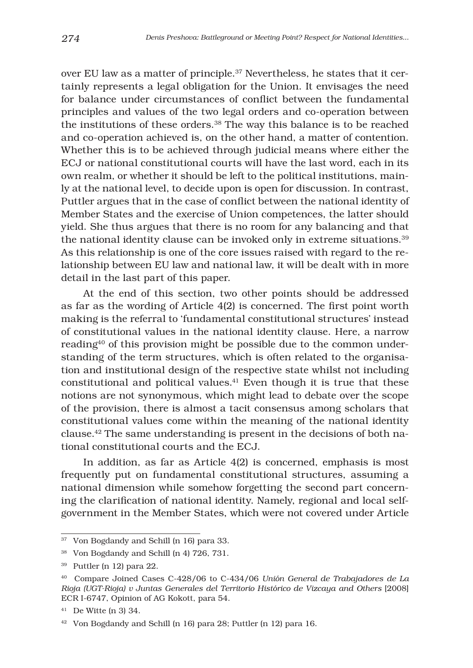over EU law as a matter of principle.37 Nevertheless, he states that it certainly represents a legal obligation for the Union. It envisages the need for balance under circumstances of conflict between the fundamental principles and values of the two legal orders and co-operation between the institutions of these orders.38 The way this balance is to be reached and co-operation achieved is, on the other hand, a matter of contention. Whether this is to be achieved through judicial means where either the ECJ or national constitutional courts will have the last word, each in its own realm, or whether it should be left to the political institutions, mainly at the national level, to decide upon is open for discussion. In contrast, Puttler argues that in the case of conflict between the national identity of Member States and the exercise of Union competences, the latter should yield. She thus argues that there is no room for any balancing and that the national identity clause can be invoked only in extreme situations.<sup>39</sup> As this relationship is one of the core issues raised with regard to the relationship between EU law and national law, it will be dealt with in more detail in the last part of this paper.

At the end of this section, two other points should be addressed as far as the wording of Article  $4(2)$  is concerned. The first point worth making is the referral to 'fundamental constitutional structures' instead of constitutional values in the national identity clause. Here, a narrow reading<sup>40</sup> of this provision might be possible due to the common understanding of the term structures, which is often related to the organisation and institutional design of the respective state whilst not including constitutional and political values.41 Even though it is true that these notions are not synonymous, which might lead to debate over the scope of the provision, there is almost a tacit consensus among scholars that constitutional values come within the meaning of the national identity clause.42 The same understanding is present in the decisions of both national constitutional courts and the ECJ.

In addition, as far as Article 4(2) is concerned, emphasis is most frequently put on fundamental constitutional structures, assuming a national dimension while somehow forgetting the second part concerning the clarification of national identity. Namely, regional and local selfgovernment in the Member States, which were not covered under Article

<sup>37</sup> Von Bogdandy and Schill (n 16) para 33.

<sup>38</sup> Von Bogdandy and Schill (n 4) 726, 731.

<sup>39</sup> Puttler (n 12) para 22.

<sup>40</sup> Compare Joined Cases C-428/06 to C-434/06 *Unión General de Trabajadores de La Rioja (UGT-Rioja) v Juntas Generales del Territorio Histórico de Vizcaya and Others* [2008] ECR I-6747, Opinion of AG Kokott, para 54.

<sup>41</sup> De Witte (n 3) 34.

<sup>42</sup> Von Bogdandy and Schill (n 16) para 28; Puttler (n 12) para 16.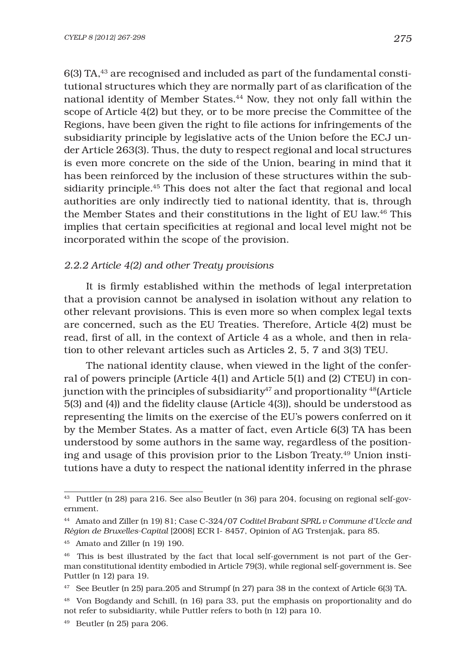6(3) TA,43 are recognised and included as part of the fundamental constitutional structures which they are normally part of as clarification of the national identity of Member States.44 Now, they not only fall within the scope of Article 4(2) but they, or to be more precise the Committee of the Regions, have been given the right to file actions for infringements of the subsidiarity principle by legislative acts of the Union before the ECJ under Article 263(3). Thus, the duty to respect regional and local structures is even more concrete on the side of the Union, bearing in mind that it has been reinforced by the inclusion of these structures within the subsidiarity principle.45 This does not alter the fact that regional and local authorities are only indirectly tied to national identity, that is, through the Member States and their constitutions in the light of EU law.46 This implies that certain specificities at regional and local level might not be incorporated within the scope of the provision.

#### *2.2.2 Article 4(2) and other Treaty provisions*

It is firmly established within the methods of legal interpretation that a provision cannot be analysed in isolation without any relation to other relevant provisions. This is even more so when complex legal texts are concerned, such as the EU Treaties. Therefore, Article 4(2) must be read, first of all, in the context of Article 4 as a whole, and then in relation to other relevant articles such as Articles 2, 5, 7 and 3(3) TEU.

The national identity clause, when viewed in the light of the conferral of powers principle (Article 4(1) and Article 5(1) and (2) CTEU) in conjunction with the principles of subsidiarity<sup>47</sup> and proportionality  $48$ (Article  $5(3)$  and  $(4)$ ) and the fidelity clause (Article  $4(3)$ ), should be understood as representing the limits on the exercise of the EU's powers conferred on it by the Member States. As a matter of fact, even Article 6(3) TA has been understood by some authors in the same way, regardless of the positioning and usage of this provision prior to the Lisbon Treaty.49 Union institutions have a duty to respect the national identity inferred in the phrase

<sup>43</sup> Puttler (n 28) para 216. See also Beutler (n 36) para 204, focusing on regional self-government.

<sup>44</sup> Amato and Ziller (n 19) 81; Case C-324/07 *Coditel Brabant SPRL v Commune d'Uccle and Région de Bruxelles-Capital* [2008] ECR I- 8457, Opinion of AG Trstenjak, para 85.

<sup>45</sup> Amato and Ziller (n 19) 190.

<sup>46</sup> This is best illustrated by the fact that local self-government is not part of the German constitutional identity embodied in Article 79(3), while regional self-government is. See Puttler (n 12) para 19.

<sup>47</sup> See Beutler (n 25) para.205 and Strumpf (n 27) para 38 in the context of Article 6(3) TA.

<sup>48</sup> Von Bogdandy and Schill, (n 16) para 33, put the emphasis on proportionality and do not refer to subsidiarity, while Puttler refers to both (n 12) para 10.

 $49$  Beutler (n 25) para 206.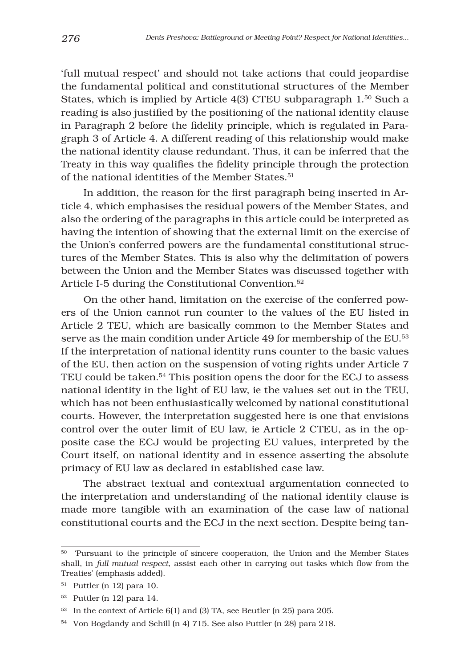'full mutual respect' and should not take actions that could jeopardise the fundamental political and constitutional structures of the Member States, which is implied by Article 4(3) CTEU subparagraph 1.50 Such a reading is also justified by the positioning of the national identity clause in Paragraph 2 before the fidelity principle, which is regulated in Paragraph 3 of Article 4. A different reading of this relationship would make the national identity clause redundant. Thus, it can be inferred that the Treaty in this way qualifies the fidelity principle through the protection of the national identities of the Member States.<sup>51</sup>

In addition, the reason for the first paragraph being inserted in Article 4, which emphasises the residual powers of the Member States, and also the ordering of the paragraphs in this article could be interpreted as having the intention of showing that the external limit on the exercise of the Union's conferred powers are the fundamental constitutional structures of the Member States. This is also why the delimitation of powers between the Union and the Member States was discussed together with Article I-5 during the Constitutional Convention.52

On the other hand, limitation on the exercise of the conferred powers of the Union cannot run counter to the values of the EU listed in Article 2 TEU, which are basically common to the Member States and serve as the main condition under Article 49 for membership of the EU.53 If the interpretation of national identity runs counter to the basic values of the EU, then action on the suspension of voting rights under Article 7 TEU could be taken.54 This position opens the door for the ECJ to assess national identity in the light of EU law, ie the values set out in the TEU, which has not been enthusiastically welcomed by national constitutional courts. However, the interpretation suggested here is one that envisions control over the outer limit of EU law, ie Article 2 CTEU, as in the opposite case the ECJ would be projecting EU values, interpreted by the Court itself, on national identity and in essence asserting the absolute primacy of EU law as declared in established case law.

The abstract textual and contextual argumentation connected to the interpretation and understanding of the national identity clause is made more tangible with an examination of the case law of national constitutional courts and the ECJ in the next section. Despite being tan-

<sup>50 &#</sup>x27;Pursuant to the principle of sincere cooperation, the Union and the Member States shall, in *full mutual respect*, assist each other in carrying out tasks which flow from the Treaties' (emphasis added).

<sup>51</sup> Puttler (n 12) para 10.

<sup>52</sup> Puttler (n 12) para 14.

<sup>53</sup> In the context of Article 6(1) and (3) TA, see Beutler (n 25) para 205.

<sup>54</sup> Von Bogdandy and Schill (n 4) 715. See also Puttler (n 28) para 218.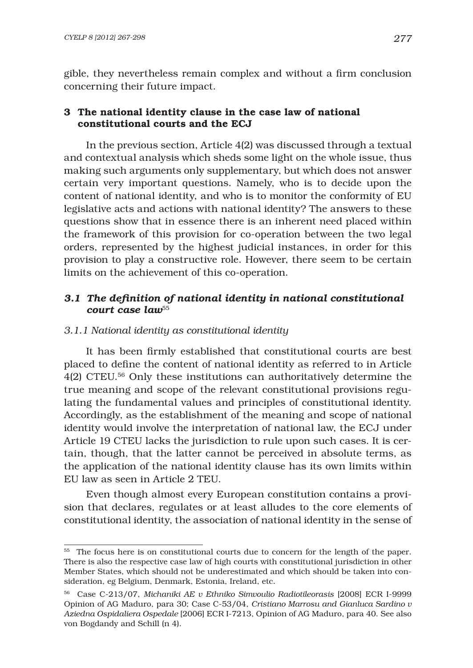gible, they nevertheless remain complex and without a firm conclusion concerning their future impact.

# 3 The national identity clause in the case law of national constitutional courts and the ECJ

In the previous section, Article 4(2) was discussed through a textual and contextual analysis which sheds some light on the whole issue, thus making such arguments only supplementary, but which does not answer certain very important questions. Namely, who is to decide upon the content of national identity, and who is to monitor the conformity of EU legislative acts and actions with national identity? The answers to these questions show that in essence there is an inherent need placed within the framework of this provision for co-operation between the two legal orders, represented by the highest judicial instances, in order for this provision to play a constructive role. However, there seem to be certain limits on the achievement of this co-operation.

# 3.1 The definition of national identity in national constitutional *court case law*<sup>55</sup>

## *3.1.1 National identity as constitutional identity*

It has been firmly established that constitutional courts are best placed to define the content of national identity as referred to in Article 4(2) CTEU.56 Only these institutions can authoritatively determine the true meaning and scope of the relevant constitutional provisions regulating the fundamental values and principles of constitutional identity. Accordingly, as the establishment of the meaning and scope of national identity would involve the interpretation of national law, the ECJ under Article 19 CTEU lacks the jurisdiction to rule upon such cases. It is certain, though, that the latter cannot be perceived in absolute terms, as the application of the national identity clause has its own limits within EU law as seen in Article 2 TEU.

Even though almost every European constitution contains a provision that declares, regulates or at least alludes to the core elements of constitutional identity, the association of national identity in the sense of

<sup>55</sup> The focus here is on constitutional courts due to concern for the length of the paper. There is also the respective case law of high courts with constitutional jurisdiction in other Member States, which should not be underestimated and which should be taken into consideration, eg Belgium, Denmark, Estonia, Ireland, etc.

<sup>56</sup> Case C-213/07, *Michaniki AE v Ethniko Simvoulio Radiotileorasis* [2008] ECR I-9999 Opinion of AG Maduro, para 30; Case C-53/04, *Cristiano Marrosu and Gianluca Sardino v Aziedna Ospidaliera Ospedale* [2006] ECR I-7213, Opinion of AG Maduro, para 40. See also von Bogdandy and Schill (n 4).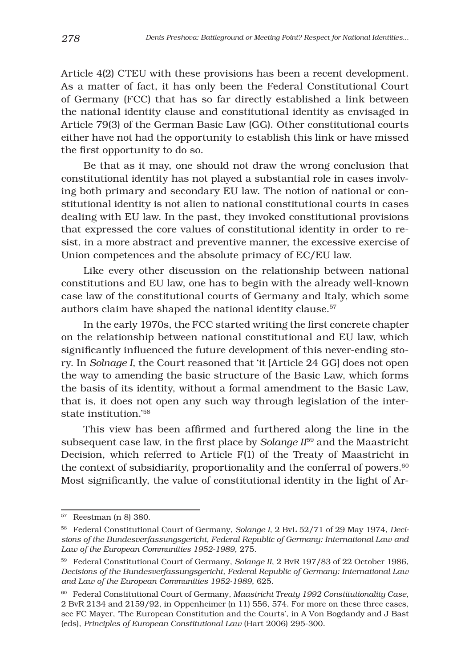Article 4(2) CTEU with these provisions has been a recent development. As a matter of fact, it has only been the Federal Constitutional Court of Germany (FCC) that has so far directly established a link between the national identity clause and constitutional identity as envisaged in Article 79(3) of the German Basic Law (GG). Other constitutional courts either have not had the opportunity to establish this link or have missed the first opportunity to do so.

Be that as it may, one should not draw the wrong conclusion that constitutional identity has not played a substantial role in cases involving both primary and secondary EU law. The notion of national or constitutional identity is not alien to national constitutional courts in cases dealing with EU law. In the past, they invoked constitutional provisions that expressed the core values of constitutional identity in order to resist, in a more abstract and preventive manner, the excessive exercise of Union competences and the absolute primacy of EC/EU law.

Like every other discussion on the relationship between national constitutions and EU law, one has to begin with the already well-known case law of the constitutional courts of Germany and Italy, which some authors claim have shaped the national identity clause.<sup>57</sup>

In the early 1970s, the FCC started writing the first concrete chapter on the relationship between national constitutional and EU law, which significantly influenced the future development of this never-ending story. In *Solnage I*, the Court reasoned that 'it [Article 24 GG] does not open the way to amending the basic structure of the Basic Law, which forms the basis of its identity, without a formal amendment to the Basic Law, that is, it does not open any such way through legislation of the interstate institution.'58

This view has been affirmed and furthered along the line in the subsequent case law, in the first place by *Solange II*<sup>59</sup> and the Maastricht Decision, which referred to Article F(1) of the Treaty of Maastricht in the context of subsidiarity, proportionality and the conferral of powers. $60$ Most significantly, the value of constitutional identity in the light of Ar-

<sup>57</sup> Reestman (n 8) 380.

<sup>58</sup> Federal Constitutional Court of Germany, *Solange I*, 2 BvL 52/71 of 29 May 1974, *Decisions of the Bundesverfassungsgericht, Federal Republic of Germany: International Law and Law of the European Communities 1952-1989*, 275.

<sup>59</sup> Federal Constitutional Court of Germany, *Solange II*, 2 BvR 197/83 of 22 October 1986, *Decisions of the Bundesverfassungsgericht, Federal Republic of Germany: International Law and Law of the European Communities 1952-1989*, 625.

<sup>60</sup> Federal Constitutional Court of Germany, *Maastricht Treaty 1992 Constitutionality Case*, 2 BvR 2134 and 2159/92, in Oppenheimer (n 11) 556, 574. For more on these three cases, see FC Mayer, 'The European Constitution and the Courts', in A Von Bogdandy and J Bast (eds), *Principles of European Constitutional Law* (Hart 2006) 295-300.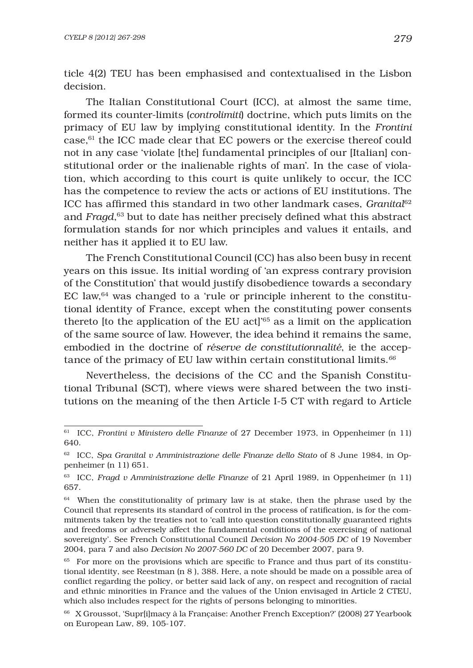ticle 4(2) TEU has been emphasised and contextualised in the Lisbon decision.

The Italian Constitutional Court (ICC), at almost the same time, formed its counter-limits (*controlimiti*) doctrine, which puts limits on the primacy of EU law by implying constitutional identity. In the *Frontini* case, $61$  the ICC made clear that EC powers or the exercise thereof could not in any case 'violate [the] fundamental principles of our [Italian] constitutional order or the inalienable rights of man'. In the case of violation, which according to this court is quite unlikely to occur, the ICC has the competence to review the acts or actions of EU institutions. The ICC has affirmed this standard in two other landmark cases, *Granital<sup>62</sup>* and *Fragd*,<sup>63</sup> but to date has neither precisely defined what this abstract formulation stands for nor which principles and values it entails, and neither has it applied it to EU law.

The French Constitutional Council (CC) has also been busy in recent years on this issue. Its initial wording of 'an express contrary provision of the Constitution' that would justify disobedience towards a secondary EC law, $64$  was changed to a 'rule or principle inherent to the constitutional identity of France, except when the constituting power consents thereto [to the application of the EU act]'65 as a limit on the application of the same source of law. However, the idea behind it remains the same, embodied in the doctrine of *réserve de constitutionnalité*, ie the acceptance of the primacy of EU law within certain constitutional limits.*<sup>66</sup>*

Nevertheless, the decisions of the CC and the Spanish Constitutional Tribunal (SCT), where views were shared between the two institutions on the meaning of the then Article I-5 CT with regard to Article

<sup>61</sup> ICC, *Frontini v Ministero delle Finanze* of 27 December 1973, in Oppenheimer (n 11) 640.

<sup>62</sup> ICC, *Spa Granital v Amministrazione delle Finanze dello Stato* of 8 June 1984, in Oppenheimer (n 11) 651.

<sup>63</sup> ICC, *Fragd v Amministrazione delle Finanze* of 21 April 1989, in Oppenheimer (n 11) 657.

<sup>&</sup>lt;sup>64</sup> When the constitutionality of primary law is at stake, then the phrase used by the Council that represents its standard of control in the process of ratification, is for the commitments taken by the treaties not to 'call into question constitutionally guaranteed rights and freedoms or adversely affect the fundamental conditions of the exercising of national sovereignty'. See French Constitutional Council *Decision No 2004-505 DC* of 19 November 2004, para 7 and also *Decision No 2007-560 DC* of 20 December 2007, para 9.

<sup>&</sup>lt;sup>65</sup> For more on the provisions which are specific to France and thus part of its constitutional identity, see Reestman (n 8 ), 388. Here, a note should be made on a possible area of conflict regarding the policy, or better said lack of any, on respect and recognition of racial and ethnic minorities in France and the values of the Union envisaged in Article 2 CTEU, which also includes respect for the rights of persons belonging to minorities.

<sup>66</sup> X Groussot, 'Supr[i]macy à la Française: Another French Exception?' (2008) 27 Yearbook on European Law, 89, 105-107.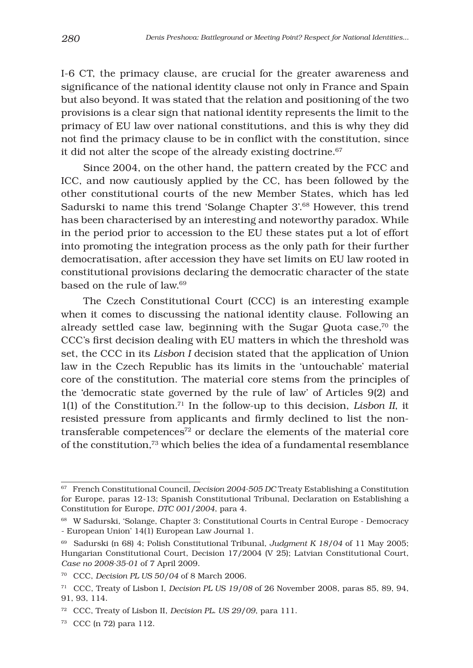I-6 CT, the primacy clause, are crucial for the greater awareness and significance of the national identity clause not only in France and Spain but also beyond. It was stated that the relation and positioning of the two provisions is a clear sign that national identity represents the limit to the primacy of EU law over national constitutions, and this is why they did not find the primacy clause to be in conflict with the constitution, since it did not alter the scope of the already existing doctrine.<sup>67</sup>

Since 2004, on the other hand, the pattern created by the FCC and ICC, and now cautiously applied by the CC, has been followed by the other constitutional courts of the new Member States, which has led Sadurski to name this trend 'Solange Chapter 3'.68 However, this trend has been characterised by an interesting and noteworthy paradox. While in the period prior to accession to the EU these states put a lot of effort into promoting the integration process as the only path for their further democratisation, after accession they have set limits on EU law rooted in constitutional provisions declaring the democratic character of the state based on the rule of law.69

The Czech Constitutional Court (CCC) is an interesting example when it comes to discussing the national identity clause. Following an already settled case law, beginning with the Sugar Quota case, $70$  the CCC's first decision dealing with EU matters in which the threshold was set, the CCC in its *Lisbon I* decision stated that the application of Union law in the Czech Republic has its limits in the 'untouchable' material core of the constitution. The material core stems from the principles of the 'democratic state governed by the rule of law' of Articles 9(2) and 1(1) of the Constitution.71 In the follow-up to this decision, *Lisbon II*, it resisted pressure from applicants and firmly declined to list the nontransferable competences<sup>72</sup> or declare the elements of the material core of the constitution,73 which belies the idea of a fundamental resemblance

<sup>67</sup> French Constitutional Council, *Decision 2004-505 DC* Treaty Establishing a Constitution for Europe, paras 12-13; Spanish Constitutional Tribunal, Declaration on Establishing a Constitution for Europe, *DTC 001/2004*, para 4.

<sup>68</sup> W Sadurski, 'Solange, Chapter 3: Constitutional Courts in Central Europe - Democracy - European Union' 14(1) European Law Journal 1.

<sup>69</sup> Sadurski (n 68) 4; Polish Constitutional Tribunal, *Judgment K 18/04* of 11 May 2005; Hungarian Constitutional Court, Decision 17/2004 (V 25); Latvian Constitutional Court, *Case no 2008-35-01* of 7 April 2009.

<sup>70</sup> CCC, *Decision PL US 50/04* of 8 March 2006.

<sup>71</sup> CCC, Treaty of Lisbon I, *Decision PL US 19/08* of 26 November 2008, paras 85, 89, 94, 91, 93, 114.

<sup>72</sup> CCC, Treaty of Lisbon II, *Decision PL. US 29/09*, para 111.

<sup>73</sup> CCC (n 72) para 112.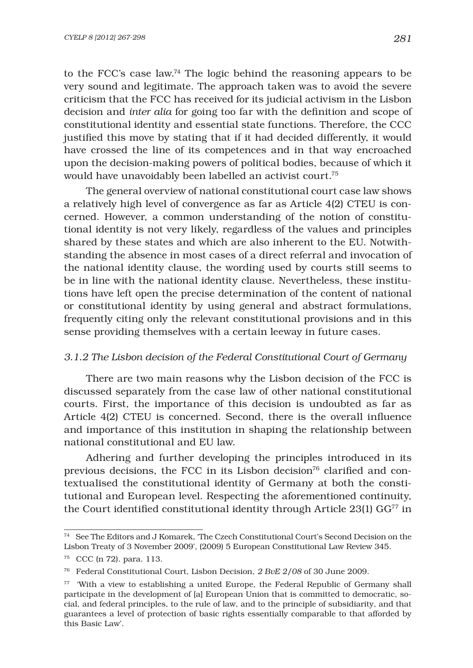to the FCC's case law.74 The logic behind the reasoning appears to be very sound and legitimate. The approach taken was to avoid the severe criticism that the FCC has received for its judicial activism in the Lisbon decision and *inter alia* for going too far with the definition and scope of constitutional identity and essential state functions. Therefore, the CCC justified this move by stating that if it had decided differently, it would have crossed the line of its competences and in that way encroached upon the decision-making powers of political bodies, because of which it would have unavoidably been labelled an activist court.75

The general overview of national constitutional court case law shows a relatively high level of convergence as far as Article 4(2) CTEU is concerned. However, a common understanding of the notion of constitutional identity is not very likely, regardless of the values and principles shared by these states and which are also inherent to the EU. Notwithstanding the absence in most cases of a direct referral and invocation of the national identity clause, the wording used by courts still seems to be in line with the national identity clause. Nevertheless, these institutions have left open the precise determination of the content of national or constitutional identity by using general and abstract formulations, frequently citing only the relevant constitutional provisions and in this sense providing themselves with a certain leeway in future cases.

#### *3.1.2 The Lisbon decision of the Federal Constitutional Court of Germany*

There are two main reasons why the Lisbon decision of the FCC is discussed separately from the case law of other national constitutional courts. First, the importance of this decision is undoubted as far as Article 4(2) CTEU is concerned. Second, there is the overall influence and importance of this institution in shaping the relationship between national constitutional and EU law.

Adhering and further developing the principles introduced in its previous decisions, the FCC in its Lisbon decision<sup>76</sup> clarified and contextualised the constitutional identity of Germany at both the constitutional and European level. Respecting the aforementioned continuity, the Court identified constitutional identity through Article  $23(1)$  GG<sup>77</sup> in

<sup>74</sup> See The Editors and J Komarek, 'The Czech Constitutional Court's Second Decision on the Lisbon Treaty of 3 November 2009', (2009) 5 European Constitutional Law Review 345.

<sup>75</sup> CCC (n 72). para. 113.

<sup>76</sup> Federal Constitutional Court, Lisbon Decision, *2 BvE 2/08* of 30 June 2009.

<sup>77 &#</sup>x27;With a view to establishing a united Europe, the Federal Republic of Germany shall participate in the development of [a] European Union that is committed to democratic, social, and federal principles, to the rule of law, and to the principle of subsidiarity, and that guarantees a level of protection of basic rights essentially comparable to that afforded by this Basic Law'.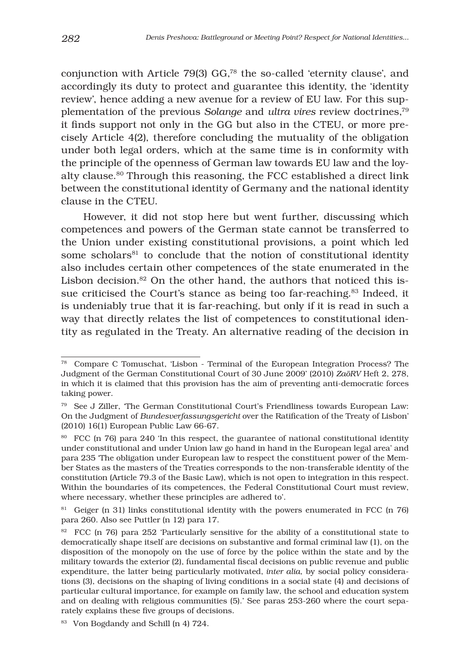conjunction with Article 79(3) GG,78 the so-called 'eternity clause', and accordingly its duty to protect and guarantee this identity, the 'identity review', hence adding a new avenue for a review of EU law. For this supplementation of the previous *Solange* and *ultra vires* review doctrines,79 it finds support not only in the GG but also in the CTEU, or more precisely Article 4(2), therefore concluding the mutuality of the obligation under both legal orders, which at the same time is in conformity with the principle of the openness of German law towards EU law and the loyalty clause.<sup>80</sup> Through this reasoning, the FCC established a direct link between the constitutional identity of Germany and the national identity clause in the CTEU.

However, it did not stop here but went further, discussing which competences and powers of the German state cannot be transferred to the Union under existing constitutional provisions, a point which led some scholars<sup>81</sup> to conclude that the notion of constitutional identity also includes certain other competences of the state enumerated in the Lisbon decision. $82$  On the other hand, the authors that noticed this issue criticised the Court's stance as being too far-reaching.83 Indeed, it is undeniably true that it is far-reaching, but only if it is read in such a way that directly relates the list of competences to constitutional identity as regulated in the Treaty. An alternative reading of the decision in

<sup>78</sup> Compare C Tomuschat, 'Lisbon - Terminal of the European Integration Process? The Judgment of the German Constitutional Court of 30 June 2009' (2010) *ZaöRV* Heft 2, 278, in which it is claimed that this provision has the aim of preventing anti-democratic forces taking power.

<sup>79</sup> See J Ziller, 'The German Constitutional Court's Friendliness towards European Law: On the Judgment of *Bundesverfassungsgericht* over the Ratification of the Treaty of Lisbon' (2010) 16(1) European Public Law 66-67.

<sup>80</sup> FCC (n 76) para 240 'In this respect, the guarantee of national constitutional identity under constitutional and under Union law go hand in hand in the European legal area' and para 235 'The obligation under European law to respect the constituent power of the Member States as the masters of the Treaties corresponds to the non-transferable identity of the constitution (Article 79.3 of the Basic Law), which is not open to integration in this respect. Within the boundaries of its competences, the Federal Constitutional Court must review, where necessary, whether these principles are adhered to'.

<sup>81</sup> Geiger (n 31) links constitutional identity with the powers enumerated in FCC (n 76) para 260. Also see Puttler (n 12) para 17.

<sup>&</sup>lt;sup>82</sup> FCC (n 76) para 252 'Particularly sensitive for the ability of a constitutional state to democratically shape itself are decisions on substantive and formal criminal law (1), on the disposition of the monopoly on the use of force by the police within the state and by the military towards the exterior (2), fundamental fiscal decisions on public revenue and public expenditure, the latter being particularly motivated, *inter alia*, by social policy considerations (3), decisions on the shaping of living conditions in a social state (4) and decisions of particular cultural importance, for example on family law, the school and education system and on dealing with religious communities (5).' See paras 253-260 where the court separately explains these five groups of decisions.

<sup>83</sup> Von Bogdandy and Schill (n 4) 724.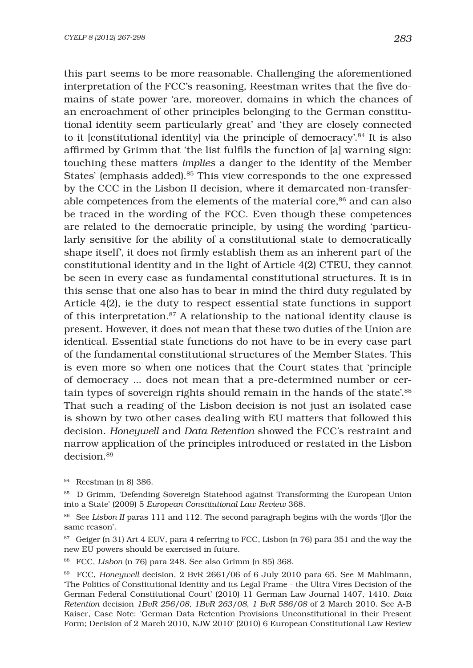this part seems to be more reasonable. Challenging the aforementioned interpretation of the FCC's reasoning, Reestman writes that the five domains of state power 'are, moreover, domains in which the chances of an encroachment of other principles belonging to the German constitutional identity seem particularly great' and 'they are closely connected to it [constitutional identity] via the principle of democracy'.84 It is also affirmed by Grimm that 'the list fulfils the function of [a] warning sign: touching these matters *implies* a danger to the identity of the Member States' (emphasis added).85 This view corresponds to the one expressed by the CCC in the Lisbon II decision, where it demarcated non-transferable competences from the elements of the material core,<sup>86</sup> and can also be traced in the wording of the FCC. Even though these competences are related to the democratic principle, by using the wording 'particularly sensitive for the ability of a constitutional state to democratically shape itself', it does not firmly establish them as an inherent part of the constitutional identity and in the light of Article 4(2) CTEU, they cannot be seen in every case as fundamental constitutional structures. It is in this sense that one also has to bear in mind the third duty regulated by Article 4(2), ie the duty to respect essential state functions in support of this interpretation.87 A relationship to the national identity clause is present. However, it does not mean that these two duties of the Union are identical. Essential state functions do not have to be in every case part of the fundamental constitutional structures of the Member States. This is even more so when one notices that the Court states that 'principle of democracy ... does not mean that a pre-determined number or certain types of sovereign rights should remain in the hands of the state'.88 That such a reading of the Lisbon decision is not just an isolated case is shown by two other cases dealing with EU matters that followed this decision. *Honeywell* and *Data Retention* showed the FCC's restraint and narrow application of the principles introduced or restated in the Lisbon decision.89

<sup>84</sup> Reestman (n 8) 386.

<sup>85</sup> D Grimm, 'Defending Sovereign Statehood against Transforming the European Union into a State' (2009) 5 *European Constitutional Law Review* 368.

<sup>86</sup> See *Lisbon II* paras 111 and 112. The second paragraph begins with the words '[f]or the same reason'.

<sup>&</sup>lt;sup>87</sup> Geiger (n 31) Art 4 EUV, para 4 referring to FCC, Lisbon (n 76) para 351 and the way the new EU powers should be exercised in future.

<sup>88</sup> FCC, *Lisbon* (n 76) para 248. See also Grimm (n 85) 368.

<sup>89</sup> FCC, *Honeywell* decision, 2 BvR 2661/06 of 6 July 2010 para 65. See M Mahlmann, 'The Politics of Constitutional Identity and its Legal Frame - the Ultra Vires Decision of the German Federal Constitutional Court' (2010) 11 German Law Journal 1407, 1410. *Data Retention* decision *1BvR 256/08, 1BvR 263/08, 1 BvR 586/08* of 2 March 2010. See A-B Kaiser, Case Note: 'German Data Retention Provisions Unconstitutional in their Present Form; Decision of 2 March 2010, NJW 2010' (2010) 6 European Constitutional Law Review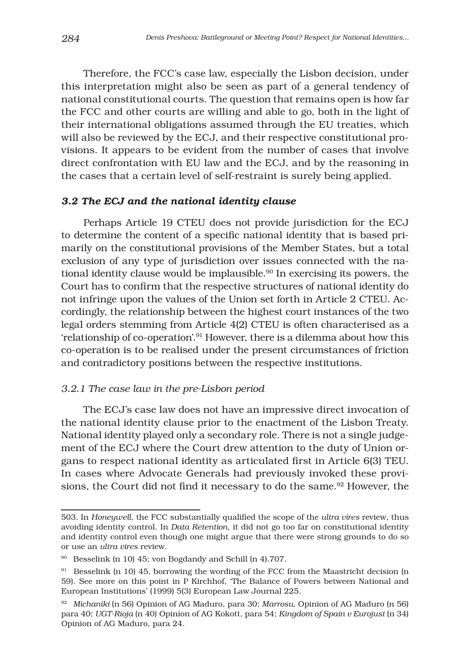Therefore, the FCC's case law, especially the Lisbon decision, under this interpretation might also be seen as part of a general tendency of national constitutional courts. The question that remains open is how far the FCC and other courts are willing and able to go, both in the light of their international obligations assumed through the EU treaties, which will also be reviewed by the ECJ, and their respective constitutional provisions. It appears to be evident from the number of cases that involve direct confrontation with EU law and the ECJ, and by the reasoning in the cases that a certain level of self-restraint is surely being applied.

#### *3.2 The ECJ and the national identity clause*

Perhaps Article 19 CTEU does not provide jurisdiction for the ECJ to determine the content of a specific national identity that is based primarily on the constitutional provisions of the Member States, but a total exclusion of any type of jurisdiction over issues connected with the national identity clause would be implausible.<sup>90</sup> In exercising its powers, the Court has to confirm that the respective structures of national identity do not infringe upon the values of the Union set forth in Article 2 CTEU. Accordingly, the relationship between the highest court instances of the two legal orders stemming from Article 4(2) CTEU is often characterised as a 'relationship of co-operation'.91 However, there is a dilemma about how this co-operation is to be realised under the present circumstances of friction and contradictory positions between the respective institutions.

## *3.2.1 The case law in the pre-Lisbon period*

The ECJ's case law does not have an impressive direct invocation of the national identity clause prior to the enactment of the Lisbon Treaty. National identity played only a secondary role. There is not a single judgement of the ECJ where the Court drew attention to the duty of Union organs to respect national identity as articulated first in Article  $6(3)$  TEU. In cases where Advocate Generals had previously invoked these provisions, the Court did not find it necessary to do the same.<sup>92</sup> However, the

<sup>503.</sup> In *Honeywell*, the FCC substantially qualified the scope of the *ultra vires* review, thus avoiding identity control. In *Data Retention*, it did not go too far on constitutional identity and identity control even though one might argue that there were strong grounds to do so or use an *ultra vires* review.

<sup>90</sup> Besselink (n 10) 45; von Bogdandy and Schill (n 4)*.*707*.*

<sup>91</sup> Besselink (n 10) 45, borrowing the wording of the FCC from the Maastricht decision (n 59). See more on this point in P Kirchhof, 'The Balance of Powers between National and European Institutions' (1999) 5(3) European Law Journal 225.

<sup>92</sup> *Michaniki* (n 56) Opinion of AG Maduro, para 30; *Marrosu*, Opinion of AG Maduro (n 56) para 40; *UGT-Rioja* (n 40) Opinion of AG Kokott, para 54; *Kingdom of Spain v Eurojust* (n 34) Opinion of AG Maduro, para 24.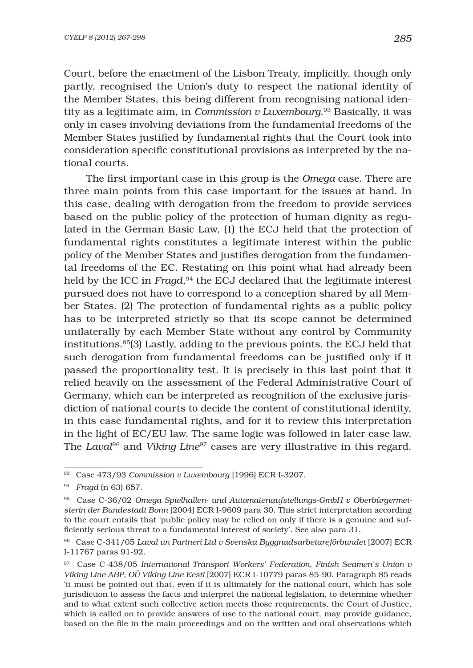Court, before the enactment of the Lisbon Treaty, implicitly, though only partly, recognised the Union's duty to respect the national identity of the Member States, this being different from recognising national identity as a legitimate aim, in *Commission v Luxembourg*. 93 Basically, it was only in cases involving deviations from the fundamental freedoms of the Member States justified by fundamental rights that the Court took into consideration specific constitutional provisions as interpreted by the national courts.

The first important case in this group is the *Omega* case. There are three main points from this case important for the issues at hand. In this case, dealing with derogation from the freedom to provide services based on the public policy of the protection of human dignity as regulated in the German Basic Law, (1) the ECJ held that the protection of fundamental rights constitutes a legitimate interest within the public policy of the Member States and justifies derogation from the fundamental freedoms of the EC. Restating on this point what had already been held by the ICC in *Fragd*, 94 the ECJ declared that the legitimate interest pursued does not have to correspond to a conception shared by all Member States. (2) The protection of fundamental rights as a public policy has to be interpreted strictly so that its scope cannot be determined unilaterally by each Member State without any control by Community institutions. $95(3)$  Lastly, adding to the previous points, the ECJ held that such derogation from fundamental freedoms can be justified only if it passed the proportionality test. It is precisely in this last point that it relied heavily on the assessment of the Federal Administrative Court of Germany, which can be interpreted as recognition of the exclusive jurisdiction of national courts to decide the content of constitutional identity, in this case fundamental rights, and for it to review this interpretation in the light of EC/EU law. The same logic was followed in later case law. The *Laval*96 and *Viking Line*97 cases are very illustrative in this regard.

<sup>93</sup> Case 473/93 *Commission v Luxembourg* [1996] ECR I-3207.

<sup>94</sup> *Fragd* (n 63) 657.

<sup>95</sup> Case C-36/02 *Omega Spielhallen- und Automatenaufstellungs-GmbH v Oberbürgermeisterin der Bundestadt Bonn* [2004] ECR I-9609 para 30. This strict interpretation according to the court entails that 'public policy may be relied on only if there is a genuine and sufficiently serious threat to a fundamental interest of society'. See also para 31.

<sup>96</sup> Case C-341/05 *Laval un Partneri Ltd v Svenska Byggnadsarbetareförbundet* [2007] ECR I-11767 paras 91-92.

<sup>97</sup> Case C-438/05 *International Transport Workers' Federation, Finish Seamen's Union v Viking Line ABP, OÜ Viking Line Eesti* [2007] ECR I-10779 paras 85-90. Paragraph 85 reads 'it must be pointed out that, even if it is ultimately for the national court, which has sole jurisdiction to assess the facts and interpret the national legislation, to determine whether and to what extent such collective action meets those requirements, the Court of Justice, which is called on to provide answers of use to the national court, may provide guidance, based on the file in the main proceedings and on the written and oral observations which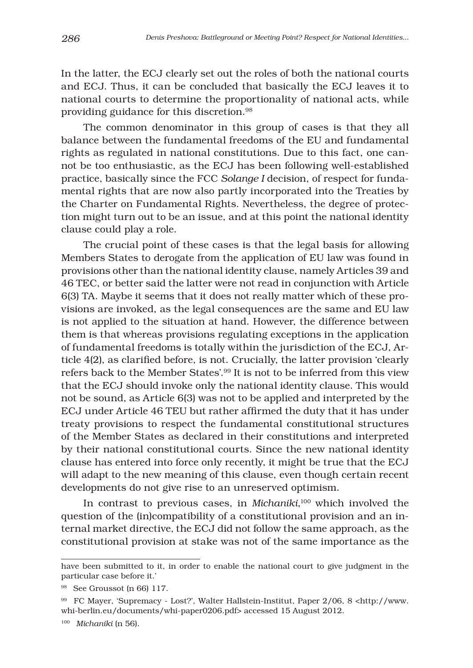In the latter, the ECJ clearly set out the roles of both the national courts and ECJ. Thus, it can be concluded that basically the ECJ leaves it to national courts to determine the proportionality of national acts, while providing guidance for this discretion.98

The common denominator in this group of cases is that they all balance between the fundamental freedoms of the EU and fundamental rights as regulated in national constitutions. Due to this fact, one cannot be too enthusiastic, as the ECJ has been following well-established practice, basically since the FCC *Solange I* decision, of respect for fundamental rights that are now also partly incorporated into the Treaties by the Charter on Fundamental Rights. Nevertheless, the degree of protection might turn out to be an issue, and at this point the national identity clause could play a role.

The crucial point of these cases is that the legal basis for allowing Members States to derogate from the application of EU law was found in provisions other than the national identity clause, namely Articles 39 and 46 TEC, or better said the latter were not read in conjunction with Article 6(3) TA. Maybe it seems that it does not really matter which of these provisions are invoked, as the legal consequences are the same and EU law is not applied to the situation at hand. However, the difference between them is that whereas provisions regulating exceptions in the application of fundamental freedoms is totally within the jurisdiction of the ECJ, Article 4(2), as clarified before, is not. Crucially, the latter provision 'clearly refers back to the Member States'.99 It is not to be inferred from this view that the ECJ should invoke only the national identity clause. This would not be sound, as Article 6(3) was not to be applied and interpreted by the ECJ under Article 46 TEU but rather affirmed the duty that it has under treaty provisions to respect the fundamental constitutional structures of the Member States as declared in their constitutions and interpreted by their national constitutional courts. Since the new national identity clause has entered into force only recently, it might be true that the ECJ will adapt to the new meaning of this clause, even though certain recent developments do not give rise to an unreserved optimism.

In contrast to previous cases, in *Michaniki*, <sup>100</sup> which involved the question of the (in)compatibility of a constitutional provision and an internal market directive*,* the ECJ did not follow the same approach, as the constitutional provision at stake was not of the same importance as the

have been submitted to it, in order to enable the national court to give judgment in the particular case before it.'

<sup>98</sup> See Groussot (n 66) 117.

<sup>99</sup> FC Mayer, 'Supremacy - Lost?', Walter Hallstein-Institut, Paper 2/06, 8 <http://www. whi-berlin.eu/documents/whi-paper0206.pdf> accessed 15 August 2012.

<sup>100</sup> *Michaniki* (n 56)*.*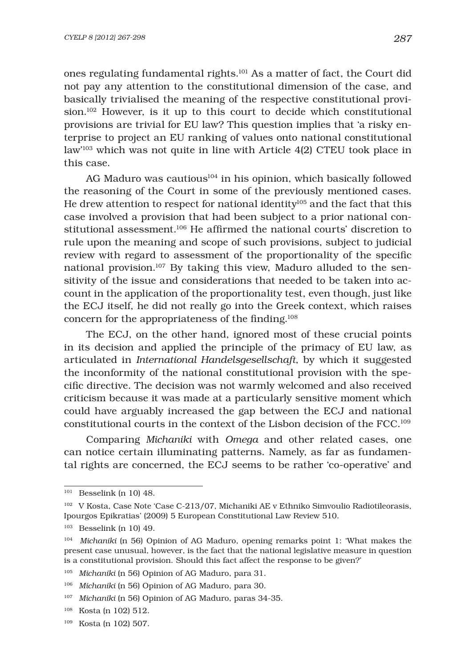ones regulating fundamental rights.101 As a matter of fact, the Court did not pay any attention to the constitutional dimension of the case, and basically trivialised the meaning of the respective constitutional provision.<sup>102</sup> However, is it up to this court to decide which constitutional provisions are trivial for EU law? This question implies that 'a risky enterprise to project an EU ranking of values onto national constitutional law'103 which was not quite in line with Article 4(2) CTEU took place in this case.

AG Maduro was cautious<sup>104</sup> in his opinion, which basically followed the reasoning of the Court in some of the previously mentioned cases. He drew attention to respect for national identity<sup>105</sup> and the fact that this case involved a provision that had been subject to a prior national constitutional assessment.<sup>106</sup> He affirmed the national courts' discretion to rule upon the meaning and scope of such provisions, subject to judicial review with regard to assessment of the proportionality of the specific national provision.107 By taking this view, Maduro alluded to the sensitivity of the issue and considerations that needed to be taken into account in the application of the proportionality test, even though, just like the ECJ itself, he did not really go into the Greek context, which raises concern for the appropriateness of the finding. $108$ 

The ECJ, on the other hand, ignored most of these crucial points in its decision and applied the principle of the primacy of EU law, as articulated in *International Handelsgesellschaft*, by which it suggested the inconformity of the national constitutional provision with the specific directive. The decision was not warmly welcomed and also received criticism because it was made at a particularly sensitive moment which could have arguably increased the gap between the ECJ and national constitutional courts in the context of the Lisbon decision of the FCC.109

Comparing *Michaniki* with *Omega* and other related cases, one can notice certain illuminating patterns. Namely, as far as fundamental rights are concerned, the ECJ seems to be rather 'co-operative' and

 $101$  Besselink (n 10) 48.

<sup>102</sup> V Kosta, Case Note 'Case C-213/07, Michaniki AE v Ethniko Simvoulio Radiotileorasis, Ipourgos Epikratias' (2009) 5 European Constitutional Law Review 510.

<sup>103</sup> Besselink (n 10) 49.

<sup>104</sup> *Michaniki* (n 56) Opinion of AG Maduro, opening remarks point 1: 'What makes the present case unusual, however, is the fact that the national legislative measure in question is a constitutional provision. Should this fact affect the response to be given?'

<sup>105</sup> *Michaniki* (n 56) Opinion of AG Maduro, para 31.

<sup>106</sup> *Michaniki* (n 56) Opinion of AG Maduro, para 30.

<sup>107</sup> *Michaniki* (n 56) Opinion of AG Maduro, paras 34-35.

<sup>108</sup> Kosta (n 102) 512.

<sup>109</sup> Kosta (n 102) 507.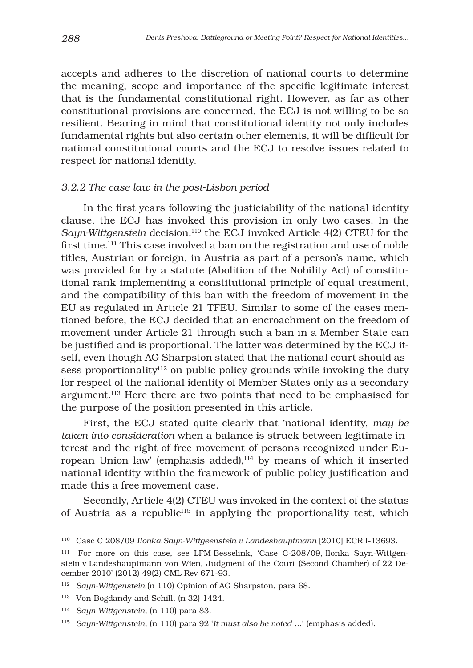accepts and adheres to the discretion of national courts to determine the meaning, scope and importance of the specific legitimate interest that is the fundamental constitutional right. However, as far as other constitutional provisions are concerned, the ECJ is not willing to be so resilient. Bearing in mind that constitutional identity not only includes fundamental rights but also certain other elements, it will be difficult for national constitutional courts and the ECJ to resolve issues related to respect for national identity.

#### *3.2.2 The case law in the post-Lisbon period*

In the first years following the justiciability of the national identity clause, the ECJ has invoked this provision in only two cases. In the *Sayn-Wittgenstein* decision,110 the ECJ invoked Article 4(2) CTEU for the first time.<sup>111</sup> This case involved a ban on the registration and use of noble titles, Austrian or foreign, in Austria as part of a person's name, which was provided for by a statute (Abolition of the Nobility Act) of constitutional rank implementing a constitutional principle of equal treatment, and the compatibility of this ban with the freedom of movement in the EU as regulated in Article 21 TFEU. Similar to some of the cases mentioned before, the ECJ decided that an encroachment on the freedom of movement under Article 21 through such a ban in a Member State can be justified and is proportional. The latter was determined by the ECJ itself, even though AG Sharpston stated that the national court should assess proportionality<sup>112</sup> on public policy grounds while invoking the duty for respect of the national identity of Member States only as a secondary argument.113 Here there are two points that need to be emphasised for the purpose of the position presented in this article.

First, the ECJ stated quite clearly that 'national identity, *may be taken into consideration* when a balance is struck between legitimate interest and the right of free movement of persons recognized under European Union law' (emphasis added), $114$  by means of which it inserted national identity within the framework of public policy justification and made this a free movement case.

Secondly, Article 4(2) CTEU was invoked in the context of the status of Austria as a republic<sup>115</sup> in applying the proportionality test, which

<sup>110</sup> Case C 208/09 *IIonka Sayn-Wittgeenstein v Landeshauptmann* [2010] ECR I-13693.

<sup>111</sup> For more on this case, see LFM Besselink, 'Case C-208/09, Ilonka Sayn-Wittgenstein v Landeshauptmann von Wien, Judgment of the Court (Second Chamber) of 22 December 2010' (2012) 49(2) CML Rev 671-93.

<sup>112</sup> *Sayn-Wittgenstein* (n 110) Opinion of AG Sharpston, para 68.

<sup>113</sup> Von Bogdandy and Schill, (n 32) 1424.

<sup>114</sup> *Sayn-Wittgenstein,* (n 110) para 83.

<sup>115</sup> *Sayn-Wittgenstein,* (n 110) para 92 '*It must also be noted* ...' (emphasis added).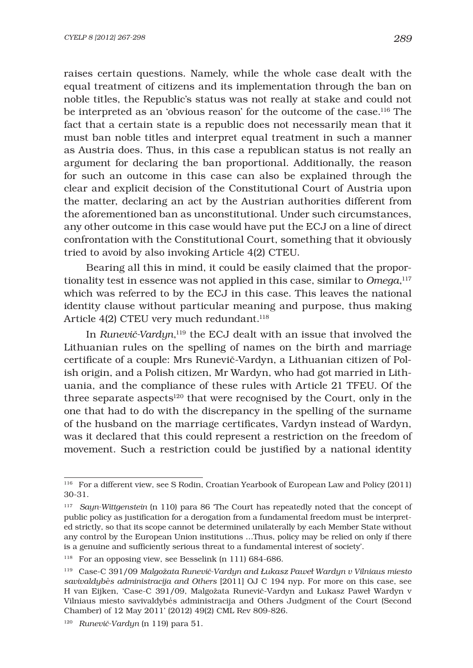raises certain questions. Namely, while the whole case dealt with the equal treatment of citizens and its implementation through the ban on noble titles, the Republic's status was not really at stake and could not be interpreted as an 'obvious reason' for the outcome of the case.116 The fact that a certain state is a republic does not necessarily mean that it must ban noble titles and interpret equal treatment in such a manner as Austria does. Thus, in this case a republican status is not really an argument for declaring the ban proportional. Additionally, the reason for such an outcome in this case can also be explained through the clear and explicit decision of the Constitutional Court of Austria upon the matter, declaring an act by the Austrian authorities different from the aforementioned ban as unconstitutional. Under such circumstances, any other outcome in this case would have put the ECJ on a line of direct confrontation with the Constitutional Court, something that it obviously tried to avoid by also invoking Article 4(2) CTEU.

Bearing all this in mind, it could be easily claimed that the proportionality test in essence was not applied in this case, similar to *Omega*, 117 which was referred to by the ECJ in this case. This leaves the national identity clause without particular meaning and purpose, thus making Article 4(2) CTEU very much redundant.<sup>118</sup>

In *RuneviË-Vardyn*, <sup>119</sup> the ECJ dealt with an issue that involved the Lithuanian rules on the spelling of names on the birth and marriage certificate of a couple: Mrs Runevič-Vardyn, a Lithuanian citizen of Polish origin, and a Polish citizen, Mr Wardyn, who had got married in Lithuania, and the compliance of these rules with Article 21 TFEU. Of the three separate aspects<sup>120</sup> that were recognised by the Court, only in the one that had to do with the discrepancy in the spelling of the surname of the husband on the marriage certificates, Vardyn instead of Wardyn, was it declared that this could represent a restriction on the freedom of movement. Such a restriction could be justified by a national identity

<sup>116</sup> For a different view, see S Rodin, Croatian Yearbook of European Law and Policy (2011) 30-31.

<sup>117</sup> *Sayn-Wittgenstein* (n 110) para 86 'The Court has repeatedly noted that the concept of public policy as justification for a derogation from a fundamental freedom must be interpreted strictly, so that its scope cannot be determined unilaterally by each Member State without any control by the European Union institutions …Thus, policy may be relied on only if there is a genuine and sufficiently serious threat to a fundamental interest of society'.

<sup>118</sup> For an opposing view, see Besselink (n 111) 684-686.

<sup>119</sup> Case-C 391/09 *Malgožata RuneviË-Vardyn and Łukasz Pawel Wardyn v Vilniaus miesto savivaldybe. s administracija and Others* [2011] OJ C 194 nyp. For more on this case, see H van Eijken, 'Case-C 391/09, Malgožata RuneviË-Vardyn and Łukasz Pawel Wardyn v Vilniaus miesto savivaldybe. s administracija and Others Judgment of the Court (Second Chamber) of 12 May 2011' (2012) 49(2) CML Rev 809-826.

<sup>120</sup> *RuneviË-Vardyn* (n 119) para 51.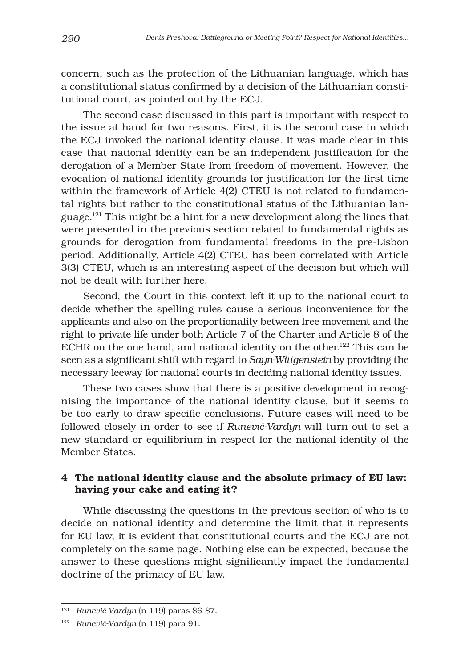concern, such as the protection of the Lithuanian language, which has a constitutional status confirmed by a decision of the Lithuanian constitutional court, as pointed out by the ECJ.

The second case discussed in this part is important with respect to the issue at hand for two reasons. First, it is the second case in which the ECJ invoked the national identity clause. It was made clear in this case that national identity can be an independent justification for the derogation of a Member State from freedom of movement. However, the evocation of national identity grounds for justification for the first time within the framework of Article 4(2) CTEU is not related to fundamental rights but rather to the constitutional status of the Lithuanian language. $121$  This might be a hint for a new development along the lines that were presented in the previous section related to fundamental rights as grounds for derogation from fundamental freedoms in the pre-Lisbon period. Additionally, Article 4(2) CTEU has been correlated with Article 3(3) CTEU, which is an interesting aspect of the decision but which will not be dealt with further here.

Second, the Court in this context left it up to the national court to decide whether the spelling rules cause a serious inconvenience for the applicants and also on the proportionality between free movement and the right to private life under both Article 7 of the Charter and Article 8 of the ECHR on the one hand, and national identity on the other.<sup>122</sup> This can be seen as a significant shift with regard to Sayn-Wittgenstein by providing the necessary leeway for national courts in deciding national identity issues.

These two cases show that there is a positive development in recognising the importance of the national identity clause, but it seems to be too early to draw specific conclusions. Future cases will need to be followed closely in order to see if *RuneviË-Vardyn* will turn out to set a new standard or equilibrium in respect for the national identity of the Member States.

## 4 The national identity clause and the absolute primacy of EU law: having your cake and eating it?

While discussing the questions in the previous section of who is to decide on national identity and determine the limit that it represents for EU law, it is evident that constitutional courts and the ECJ are not completely on the same page. Nothing else can be expected, because the answer to these questions might significantly impact the fundamental doctrine of the primacy of EU law.

<sup>121</sup> *RuneviË-Vardyn* (n 119) paras 86-87.

<sup>122</sup> *RuneviË-Vardyn* (n 119) para 91.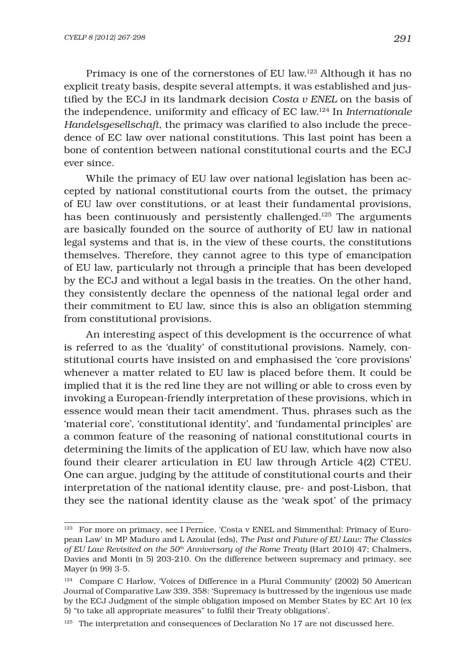Primacy is one of the cornerstones of EU law.123 Although it has no explicit treaty basis, despite several attempts, it was established and justified by the ECJ in its landmark decision *Costa v ENEL* on the basis of the independence, uniformity and efficacy of EC law.<sup>124</sup> In *Internationale Handelsgesellschaft*, the primacy was clarified to also include the precedence of EC law over national constitutions. This last point has been a bone of contention between national constitutional courts and the ECJ ever since.

While the primacy of EU law over national legislation has been accepted by national constitutional courts from the outset, the primacy of EU law over constitutions, or at least their fundamental provisions, has been continuously and persistently challenged.<sup>125</sup> The arguments are basically founded on the source of authority of EU law in national legal systems and that is, in the view of these courts, the constitutions themselves. Therefore, they cannot agree to this type of emancipation of EU law, particularly not through a principle that has been developed by the ECJ and without a legal basis in the treaties. On the other hand, they consistently declare the openness of the national legal order and their commitment to EU law, since this is also an obligation stemming from constitutional provisions.

An interesting aspect of this development is the occurrence of what is referred to as the 'duality' of constitutional provisions. Namely, constitutional courts have insisted on and emphasised the 'core provisions' whenever a matter related to EU law is placed before them. It could be implied that it is the red line they are not willing or able to cross even by invoking a European-friendly interpretation of these provisions, which in essence would mean their tacit amendment. Thus, phrases such as the 'material core', 'constitutional identity', and 'fundamental principles' are a common feature of the reasoning of national constitutional courts in determining the limits of the application of EU law, which have now also found their clearer articulation in EU law through Article 4(2) CTEU. One can argue, judging by the attitude of constitutional courts and their interpretation of the national identity clause, pre- and post-Lisbon, that they see the national identity clause as the 'weak spot' of the primacy

<sup>123</sup> For more on primacy, see I Pernice, 'Costa v ENEL and Simmenthal: Primacy of European Law' in MP Maduro and L Azoulai (eds), *The Past and Future of EU Law: The Classics of EU Law Revisited on the 50th Anniversary of the Rome Treaty* (Hart 2010) 47; Chalmers, Davies and Monti (n 5) 203-210. On the difference between supremacy and primacy, see Mayer (n 99) 3-5.

<sup>124</sup> Compare C Harlow, 'Voices of Difference in a Plural Community' (2002) 50 American Journal of Comparative Law 339, 358: 'Supremacy is buttressed by the ingenious use made by the ECJ Judgment of the simple obligation imposed on Member States by EC Art 10 (ex 5) "to take all appropriate measures" to fulfil their Treaty obligations'.

 $125$  The interpretation and consequences of Declaration No 17 are not discussed here.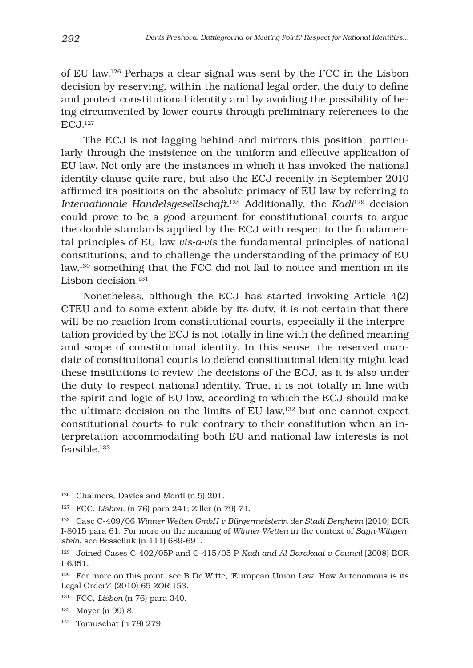of EU law.126 Perhaps a clear signal was sent by the FCC in the Lisbon decision by reserving, within the national legal order, the duty to define and protect constitutional identity and by avoiding the possibility of being circumvented by lower courts through preliminary references to the ECJ.127

The ECJ is not lagging behind and mirrors this position, particularly through the insistence on the uniform and effective application of EU law. Not only are the instances in which it has invoked the national identity clause quite rare, but also the ECJ recently in September 2010 affirmed its positions on the absolute primacy of EU law by referring to *Internationale Handelsgesellschaft*. 128 Additionally, the *Kadi*129 decision could prove to be a good argument for constitutional courts to argue the double standards applied by the ECJ with respect to the fundamental principles of EU law *vis-a-vis* the fundamental principles of national constitutions, and to challenge the understanding of the primacy of EU law,130 something that the FCC did not fail to notice and mention in its Lisbon decision.<sup>131</sup>

Nonetheless, although the ECJ has started invoking Article 4(2) CTEU and to some extent abide by its duty, it is not certain that there will be no reaction from constitutional courts, especially if the interpretation provided by the ECJ is not totally in line with the defined meaning and scope of constitutional identity. In this sense, the reserved mandate of constitutional courts to defend constitutional identity might lead these institutions to review the decisions of the ECJ, as it is also under the duty to respect national identity. True, it is not totally in line with the spirit and logic of EU law, according to which the ECJ should make the ultimate decision on the limits of EU law,132 but one cannot expect constitutional courts to rule contrary to their constitution when an interpretation accommodating both EU and national law interests is not feasible.133

<sup>126</sup> Chalmers, Davies and Monti (n 5) 201.

<sup>127</sup> FCC, *Lisbon*, (n 76) para 241; Ziller (n 79) 71.

<sup>&</sup>lt;sup>128</sup> Case C-409/06 *Winner Wetten GmbH v Bürgermeisterin der Stadt Bergheim* [2010] ECR I-8015 para 61. For more on the meaning of *Winner Wetten* in the context of *Sayn-Wittgenstein*, see Besselink (n 111) 689-691.

<sup>129</sup> Joined Cases C-402/05P and C-415/05 P *Kadi and Al Barakaat v Council* [2008] ECR I-6351*.*

<sup>&</sup>lt;sup>130</sup> For more on this point, see B De Witte, 'European Union Law: How Autonomous is its Legal Order?' (2010) 65 *ZÖR* 153.

<sup>131</sup> FCC, *Lisbon* (n 76) para 340.

<sup>132</sup> Mayer (n 99) 8.

<sup>133</sup> Tomuschat (n 78) 279.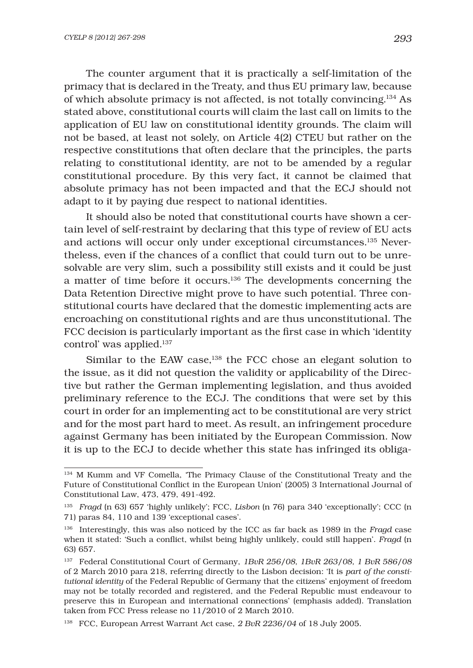The counter argument that it is practically a self-limitation of the primacy that is declared in the Treaty, and thus EU primary law, because of which absolute primacy is not affected, is not totally convincing.134 As stated above, constitutional courts will claim the last call on limits to the application of EU law on constitutional identity grounds. The claim will not be based, at least not solely, on Article 4(2) CTEU but rather on the respective constitutions that often declare that the principles, the parts relating to constitutional identity, are not to be amended by a regular constitutional procedure. By this very fact, it cannot be claimed that absolute primacy has not been impacted and that the ECJ should not adapt to it by paying due respect to national identities.

It should also be noted that constitutional courts have shown a certain level of self-restraint by declaring that this type of review of EU acts and actions will occur only under exceptional circumstances.135 Nevertheless, even if the chances of a conflict that could turn out to be unresolvable are very slim, such a possibility still exists and it could be just a matter of time before it occurs.136 The developments concerning the Data Retention Directive might prove to have such potential. Three constitutional courts have declared that the domestic implementing acts are encroaching on constitutional rights and are thus unconstitutional. The FCC decision is particularly important as the first case in which 'identity control' was applied.137

Similar to the EAW case,<sup>138</sup> the FCC chose an elegant solution to the issue, as it did not question the validity or applicability of the Directive but rather the German implementing legislation, and thus avoided preliminary reference to the ECJ. The conditions that were set by this court in order for an implementing act to be constitutional are very strict and for the most part hard to meet. As result, an infringement procedure against Germany has been initiated by the European Commission. Now it is up to the ECJ to decide whether this state has infringed its obliga-

<sup>134</sup> M Kumm and VF Comella, 'The Primacy Clause of the Constitutional Treaty and the Future of Constitutional Conflict in the European Union' (2005) 3 International Journal of Constitutional Law, 473, 479, 491-492.

<sup>135</sup> *Fragd* (n 63) 657 'highly unlikely'; FCC, *Lisbon* (n 76) para 340 'exceptionally'; CCC (n 71) paras 84, 110 and 139 'exceptional cases'.

<sup>136</sup> Interestingly, this was also noticed by the ICC as far back as 1989 in the *Fragd* case when it stated: 'Such a conflict, whilst being highly unlikely, could still happen'. *Fragd* (n 63) 657.

<sup>137</sup> Federal Constitutional Court of Germany, *1BvR 256/08, 1BvR 263/08, 1 BvR 586/08* of 2 March 2010 para 218, referring directly to the Lisbon decision: 'It is *part of the constitutional identity* of the Federal Republic of Germany that the citizens' enjoyment of freedom may not be totally recorded and registered, and the Federal Republic must endeavour to preserve this in European and international connections' (emphasis added). Translation taken from FCC Press release no 11/2010 of 2 March 2010.

<sup>138</sup> FCC, European Arrest Warrant Act case, *2 BvR 2236/04* of 18 July 2005.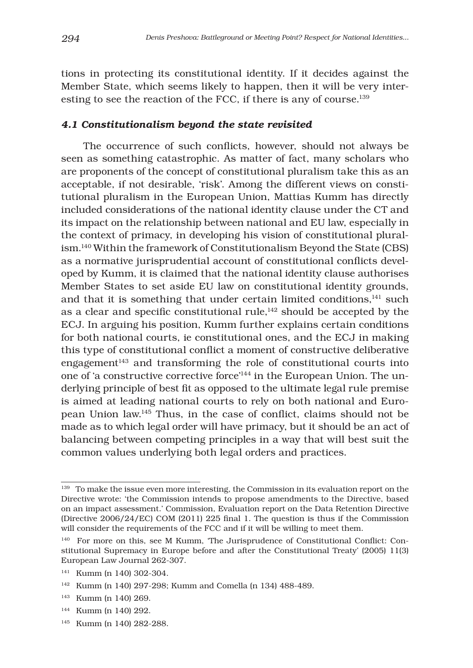tions in protecting its constitutional identity. If it decides against the Member State, which seems likely to happen, then it will be very interesting to see the reaction of the FCC, if there is any of course.<sup>139</sup>

#### *4.1 Constitutionalism beyond the state revisited*

The occurrence of such conflicts, however, should not always be seen as something catastrophic. As matter of fact, many scholars who are proponents of the concept of constitutional pluralism take this as an acceptable, if not desirable, 'risk'. Among the different views on constitutional pluralism in the European Union, Mattias Kumm has directly included considerations of the national identity clause under the CT and its impact on the relationship between national and EU law, especially in the context of primacy, in developing his vision of constitutional pluralism.140 Within the framework of Constitutionalism Beyond the State (CBS) as a normative jurisprudential account of constitutional conflicts developed by Kumm, it is claimed that the national identity clause authorises Member States to set aside EU law on constitutional identity grounds, and that it is something that under certain limited conditions, $141$  such as a clear and specific constitutional rule, $142$  should be accepted by the ECJ. In arguing his position, Kumm further explains certain conditions for both national courts, ie constitutional ones, and the ECJ in making this type of constitutional conflict a moment of constructive deliberative engagement<sup>143</sup> and transforming the role of constitutional courts into one of 'a constructive corrective force'144 in the European Union. The underlying principle of best fit as opposed to the ultimate legal rule premise is aimed at leading national courts to rely on both national and European Union law.<sup>145</sup> Thus, in the case of conflict, claims should not be made as to which legal order will have primacy, but it should be an act of balancing between competing principles in a way that will best suit the common values underlying both legal orders and practices.

- 143 Kumm (n 140) 269.
- 144 Kumm (n 140) 292.
- 145 Kumm (n 140) 282-288.

<sup>&</sup>lt;sup>139</sup> To make the issue even more interesting, the Commission in its evaluation report on the Directive wrote: 'the Commission intends to propose amendments to the Directive, based on an impact assessment.' Commission, Evaluation report on the Data Retention Directive (Directive  $2006/24/EC$ ) COM (2011) 225 final 1. The question is thus if the Commission will consider the requirements of the FCC and if it will be willing to meet them.

<sup>&</sup>lt;sup>140</sup> For more on this, see M Kumm, 'The Jurisprudence of Constitutional Conflict: Constitutional Supremacy in Europe before and after the Constitutional Treaty' (2005) 11(3) European Law Journal 262-307.

<sup>141</sup> Kumm (n 140) 302-304.

<sup>142</sup> Kumm (n 140) 297-298; Kumm and Comella (n 134) 488-489.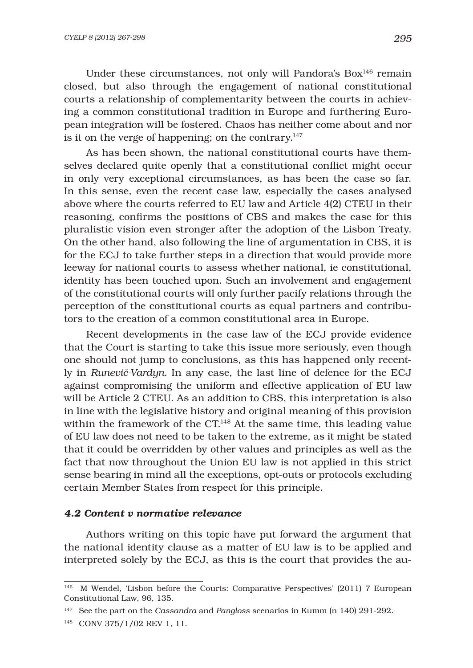Under these circumstances, not only will Pandora's Box<sup>146</sup> remain closed, but also through the engagement of national constitutional courts a relationship of complementarity between the courts in achieving a common constitutional tradition in Europe and furthering European integration will be fostered. Chaos has neither come about and nor is it on the verge of happening; on the contrary.<sup>147</sup>

As has been shown, the national constitutional courts have themselves declared quite openly that a constitutional conflict might occur in only very exceptional circumstances, as has been the case so far. In this sense, even the recent case law, especially the cases analysed above where the courts referred to EU law and Article 4(2) CTEU in their reasoning, confirms the positions of CBS and makes the case for this pluralistic vision even stronger after the adoption of the Lisbon Treaty. On the other hand, also following the line of argumentation in CBS, it is for the ECJ to take further steps in a direction that would provide more leeway for national courts to assess whether national, ie constitutional, identity has been touched upon. Such an involvement and engagement of the constitutional courts will only further pacify relations through the perception of the constitutional courts as equal partners and contributors to the creation of a common constitutional area in Europe.

Recent developments in the case law of the ECJ provide evidence that the Court is starting to take this issue more seriously, even though one should not jump to conclusions, as this has happened only recently in *RuneviË-Vardyn*. In any case, the last line of defence for the ECJ against compromising the uniform and effective application of EU law will be Article 2 CTEU. As an addition to CBS, this interpretation is also in line with the legislative history and original meaning of this provision within the framework of the  $CT<sup>148</sup>$  At the same time, this leading value of EU law does not need to be taken to the extreme, as it might be stated that it could be overridden by other values and principles as well as the fact that now throughout the Union EU law is not applied in this strict sense bearing in mind all the exceptions, opt-outs or protocols excluding certain Member States from respect for this principle.

#### *4.2 Content v normative relevance*

Authors writing on this topic have put forward the argument that the national identity clause as a matter of EU law is to be applied and interpreted solely by the ECJ, as this is the court that provides the au-

<sup>146</sup> M Wendel, 'Lisbon before the Courts: Comparative Perspectives' (2011) 7 European Constitutional Law, 96, 135.

<sup>147</sup> See the part on the *Cassandra* and *Pangloss* scenarios in Kumm (n 140) 291-292.

<sup>148</sup> CONV 375/1/02 REV 1, 11.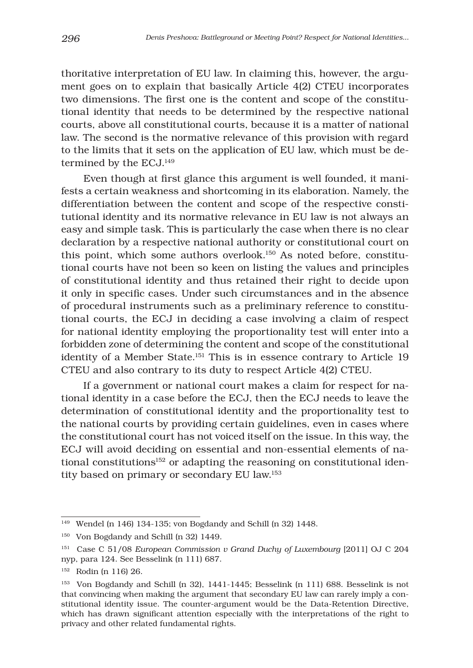thoritative interpretation of EU law. In claiming this, however, the argument goes on to explain that basically Article 4(2) CTEU incorporates two dimensions. The first one is the content and scope of the constitutional identity that needs to be determined by the respective national courts, above all constitutional courts, because it is a matter of national law. The second is the normative relevance of this provision with regard to the limits that it sets on the application of EU law, which must be determined by the ECJ.149

Even though at first glance this argument is well founded, it manifests a certain weakness and shortcoming in its elaboration. Namely, the differentiation between the content and scope of the respective constitutional identity and its normative relevance in EU law is not always an easy and simple task. This is particularly the case when there is no clear declaration by a respective national authority or constitutional court on this point, which some authors overlook.150 As noted before, constitutional courts have not been so keen on listing the values and principles of constitutional identity and thus retained their right to decide upon it only in specific cases. Under such circumstances and in the absence of procedural instruments such as a preliminary reference to constitutional courts, the ECJ in deciding a case involving a claim of respect for national identity employing the proportionality test will enter into a forbidden zone of determining the content and scope of the constitutional identity of a Member State.151 This is in essence contrary to Article 19 CTEU and also contrary to its duty to respect Article 4(2) CTEU.

If a government or national court makes a claim for respect for national identity in a case before the ECJ, then the ECJ needs to leave the determination of constitutional identity and the proportionality test to the national courts by providing certain guidelines, even in cases where the constitutional court has not voiced itself on the issue. In this way, the ECJ will avoid deciding on essential and non-essential elements of national constitutions<sup>152</sup> or adapting the reasoning on constitutional identity based on primary or secondary EU law.153

<sup>149</sup> Wendel (n 146) 134-135; von Bogdandy and Schill (n 32) 1448.

<sup>150</sup> Von Bogdandy and Schill (n 32) 1449.

<sup>151</sup> Case C 51/08 *European Commission v Grand Duchy of Luxembourg* [2011] OJ C 204 nyp, para 124. See Besselink (n 111) 687.

<sup>152</sup> Rodin (n 116) 26.

<sup>153</sup> Von Bogdandy and Schill (n 32), 1441-1445; Besselink (n 111) 688. Besselink is not that convincing when making the argument that secondary EU law can rarely imply a constitutional identity issue. The counter-argument would be the Data-Retention Directive, which has drawn significant attention especially with the interpretations of the right to privacy and other related fundamental rights.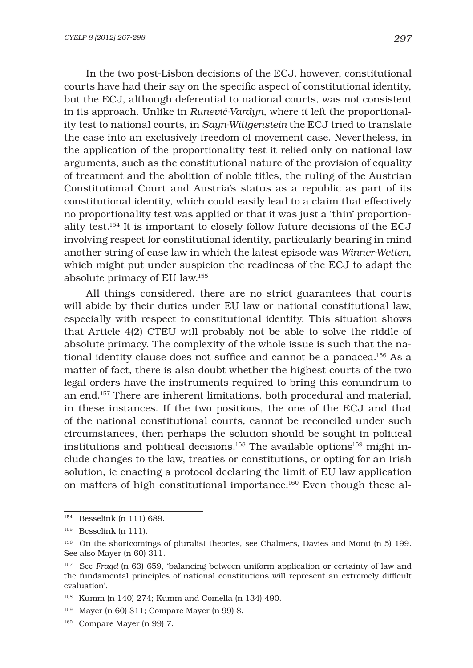In the two post-Lisbon decisions of the ECJ, however, constitutional courts have had their say on the specific aspect of constitutional identity, but the ECJ, although deferential to national courts, was not consistent in its approach. Unlike in *RuneviË-Vardyn*, where it left the proportionality test to national courts, in *Sayn-Wittgenstein* the ECJ tried to translate the case into an exclusively freedom of movement case. Nevertheless, in the application of the proportionality test it relied only on national law arguments, such as the constitutional nature of the provision of equality of treatment and the abolition of noble titles, the ruling of the Austrian Constitutional Court and Austria's status as a republic as part of its constitutional identity, which could easily lead to a claim that effectively no proportionality test was applied or that it was just a 'thin' proportionality test.154 It is important to closely follow future decisions of the ECJ involving respect for constitutional identity, particularly bearing in mind another string of case law in which the latest episode was *Winner-Wetten*, which might put under suspicion the readiness of the ECJ to adapt the absolute primacy of EU law.155

All things considered, there are no strict guarantees that courts will abide by their duties under EU law or national constitutional law, especially with respect to constitutional identity. This situation shows that Article 4(2) CTEU will probably not be able to solve the riddle of absolute primacy. The complexity of the whole issue is such that the national identity clause does not suffice and cannot be a panacea.<sup>156</sup> As a matter of fact, there is also doubt whether the highest courts of the two legal orders have the instruments required to bring this conundrum to an end.157 There are inherent limitations, both procedural and material, in these instances. If the two positions, the one of the ECJ and that of the national constitutional courts, cannot be reconciled under such circumstances, then perhaps the solution should be sought in political institutions and political decisions.<sup>158</sup> The available options<sup>159</sup> might include changes to the law, treaties or constitutions, or opting for an Irish solution, ie enacting a protocol declaring the limit of EU law application on matters of high constitutional importance.160 Even though these al-

<sup>154</sup> Besselink (n 111) 689.

 $^{\rm 155}~$  Besselink (n 111).

<sup>156</sup> On the shortcomings of pluralist theories, see Chalmers, Davies and Monti (n 5) 199. See also Mayer (n 60) 311.

<sup>157</sup> See *Fragd* (n 63) 659, 'balancing between uniform application or certainty of law and the fundamental principles of national constitutions will represent an extremely difficult evaluation'.

<sup>158</sup> Kumm (n 140) 274; Kumm and Comella (n 134) 490.

<sup>159</sup> Mayer (n 60) 311; Compare Mayer (n 99) 8.

<sup>160</sup> Compare Mayer (n 99) 7.